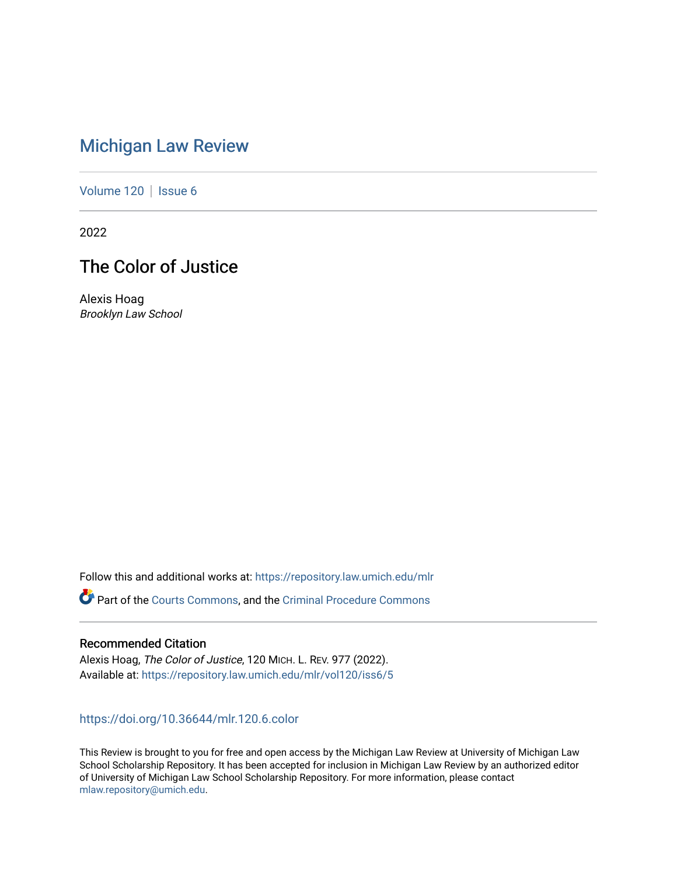# [Michigan Law Review](https://repository.law.umich.edu/mlr)

[Volume 120](https://repository.law.umich.edu/mlr/vol120) | [Issue 6](https://repository.law.umich.edu/mlr/vol120/iss6)

2022

# The Color of Justice

Alexis Hoag Brooklyn Law School

Follow this and additional works at: [https://repository.law.umich.edu/mlr](https://repository.law.umich.edu/mlr?utm_source=repository.law.umich.edu%2Fmlr%2Fvol120%2Fiss6%2F5&utm_medium=PDF&utm_campaign=PDFCoverPages) 

Part of the [Courts Commons,](http://network.bepress.com/hgg/discipline/839?utm_source=repository.law.umich.edu%2Fmlr%2Fvol120%2Fiss6%2F5&utm_medium=PDF&utm_campaign=PDFCoverPages) and the [Criminal Procedure Commons](http://network.bepress.com/hgg/discipline/1073?utm_source=repository.law.umich.edu%2Fmlr%2Fvol120%2Fiss6%2F5&utm_medium=PDF&utm_campaign=PDFCoverPages)

## Recommended Citation

Alexis Hoag, The Color of Justice, 120 MICH. L. REV. 977 (2022). Available at: [https://repository.law.umich.edu/mlr/vol120/iss6/5](https://repository.law.umich.edu/mlr/vol120/iss6/5?utm_source=repository.law.umich.edu%2Fmlr%2Fvol120%2Fiss6%2F5&utm_medium=PDF&utm_campaign=PDFCoverPages) 

## <https://doi.org/10.36644/mlr.120.6.color>

This Review is brought to you for free and open access by the Michigan Law Review at University of Michigan Law School Scholarship Repository. It has been accepted for inclusion in Michigan Law Review by an authorized editor of University of Michigan Law School Scholarship Repository. For more information, please contact [mlaw.repository@umich.edu.](mailto:mlaw.repository@umich.edu)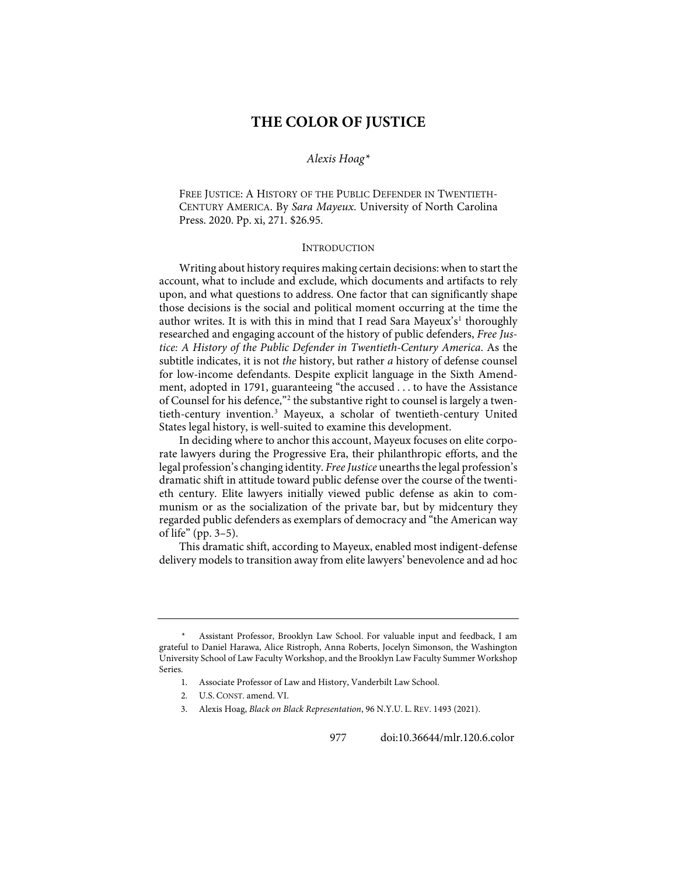# **THE COLOR OF JUSTICE**

### *Alexis Hoag[\\*](#page-1-0)*

FREE JUSTICE: A HISTORY OF THE PUBLIC DEFENDER IN TWENTIETH-CENTURY AMERICA. By *Sara Mayeux*. University of North Carolina Press. 2020. Pp. xi, 271. \$26.95.

#### INTRODUCTION

Writing about history requires making certain decisions: when to start the account, what to include and exclude, which documents and artifacts to rely upon, and what questions to address. One factor that can significantly shape those decisions is the social and political moment occurring at the time the author writes. It is with this in mind that I read Sara Mayeux's<sup>[1](#page-1-1)</sup> thoroughly researched and engaging account of the history of public defenders, *Free Justice: A History of the Public Defender in Twentieth-Century America*. As the subtitle indicates, it is not *the* history, but rather *a* history of defense counsel for low-income defendants. Despite explicit language in the Sixth Amendment, adopted in 1791, guaranteeing "the accused . . . to have the Assistance of Counsel for his defence,"<sup>[2](#page-1-2)</sup> the substantive right to counsel is largely a twentieth-century invention.[3](#page-1-3) Mayeux, a scholar of twentieth-century United States legal history, is well-suited to examine this development.

<span id="page-1-4"></span>In deciding where to anchor this account, Mayeux focuses on elite corporate lawyers during the Progressive Era, their philanthropic efforts, and the legal profession's changing identity. *Free Justice* unearths the legal profession's dramatic shift in attitude toward public defense over the course of the twentieth century. Elite lawyers initially viewed public defense as akin to communism or as the socialization of the private bar, but by midcentury they regarded public defenders as exemplars of democracy and "the American way of life" (pp. 3–5).

This dramatic shift, according to Mayeux, enabled most indigent-defense delivery models to transition away from elite lawyers' benevolence and ad hoc

3. Alexis Hoag, *Black on Black Representation*, 96 N.Y.U. L. REV. 1493 (2021).

<span id="page-1-3"></span><span id="page-1-2"></span><span id="page-1-1"></span><span id="page-1-0"></span>Assistant Professor, Brooklyn Law School. For valuable input and feedback, I am grateful to Daniel Harawa, Alice Ristroph, Anna Roberts, Jocelyn Simonson, the Washington University School of Law Faculty Workshop, and the Brooklyn Law Faculty Summer Workshop Series.

<sup>1.</sup> Associate Professor of Law and History, Vanderbilt Law School.

<sup>2.</sup> U.S. CONST. amend. VI.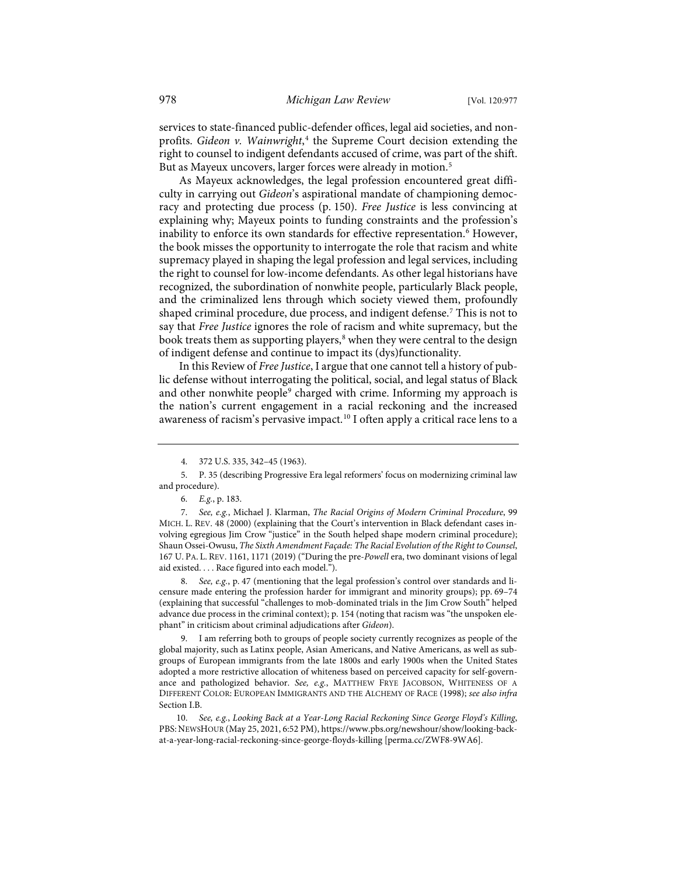services to state-financed public-defender offices, legal aid societies, and nonprofits. *Gideon v. Wainwright*, [4](#page-2-0) the Supreme Court decision extending the right to counsel to indigent defendants accused of crime, was part of the shift. But as Mayeux uncovers, larger forces were already in motion.<sup>[5](#page-2-1)</sup>

As Mayeux acknowledges, the legal profession encountered great difficulty in carrying out *Gideon*'s aspirational mandate of championing democracy and protecting due process (p. 150). *Free Justice* is less convincing at explaining why; Mayeux points to funding constraints and the profession's inability to enforce its own standards for effective representation.<sup>6</sup> However, the book misses the opportunity to interrogate the role that racism and white supremacy played in shaping the legal profession and legal services, including the right to counsel for low-income defendants. As other legal historians have recognized, the subordination of nonwhite people, particularly Black people, and the criminalized lens through which society viewed them, profoundly shaped criminal procedure, due process, and indigent defense.<sup>[7](#page-2-3)</sup> This is not to say that *Free Justice* ignores the role of racism and white supremacy, but the book treats them as supporting players,<sup>8</sup> when they were central to the design of indigent defense and continue to impact its (dys)functionality.

<span id="page-2-7"></span>In this Review of *Free Justice*, I argue that one cannot tell a history of public defense without interrogating the political, social, and legal status of Black and other nonwhite people<sup>[9](#page-2-5)</sup> charged with crime. Informing my approach is the nation's current engagement in a racial reckoning and the increased awareness of racism's pervasive impact.[10](#page-2-6) I often apply a critical race lens to a

<span id="page-2-3"></span><span id="page-2-2"></span>7. *See, e.g.*, Michael J. Klarman, *The Racial Origins of Modern Criminal Procedure*, 99 MICH. L. REV. 48 (2000) (explaining that the Court's intervention in Black defendant cases involving egregious Jim Crow "justice" in the South helped shape modern criminal procedure); Shaun Ossei-Owusu, *The Sixth Amendment Façade: The Racial Evolution of the Right to Counsel*, 167 U. PA. L. REV. 1161, 1171 (2019) ("During the pre-*Powell* era, two dominant visions of legal aid existed. . . . Race figured into each model.").

<span id="page-2-4"></span>8. *See, e.g.*, p. 47 (mentioning that the legal profession's control over standards and licensure made entering the profession harder for immigrant and minority groups); pp. 69–74 (explaining that successful "challenges to mob-dominated trials in the Jim Crow South" helped advance due process in the criminal context); p. 154 (noting that racism was "the unspoken elephant" in criticism about criminal adjudications after *Gideon*).

<span id="page-2-5"></span> 9. I am referring both to groups of people society currently recognizes as people of the global majority, such as Latinx people, Asian Americans, and Native Americans, as well as subgroups of European immigrants from the late 1800s and early 1900s when the United States adopted a more restrictive allocation of whiteness based on perceived capacity for self-governance and pathologized behavior. *See, e.g.*, MATTHEW FRYE JACOBSON, WHITENESS OF A DIFFERENT COLOR: EUROPEAN IMMIGRANTS AND THE ALCHEMY OF RACE (1998); *see also infra* Section I.B.

<span id="page-2-6"></span>10. *See, e.g.*, *Looking Back at a Year-Long Racial Reckoning Since George Floyd's Killing*, PBS: NEWSHOUR (May 25, 2021, 6:52 PM), [https://www.pbs.org/newshour/show/looking-back](https://www.pbs.org/newshour/show/looking-back-at-a-year-long-racial-reckoning-since-george-floyds-killing)[at-a-year-long-racial-reckoning-since-george-floyds-killing](https://www.pbs.org/newshour/show/looking-back-at-a-year-long-racial-reckoning-since-george-floyds-killing) [\[perma.cc/ZWF8-9WA6\]](https://perma.cc/ZWF8-9WA6).

 <sup>4. 372</sup> U.S. 335, 342–45 (1963).

<span id="page-2-1"></span><span id="page-2-0"></span> <sup>5.</sup> P. 35 (describing Progressive Era legal reformers' focus on modernizing criminal law and procedure).

<sup>6.</sup> *E.g.*, p. 183.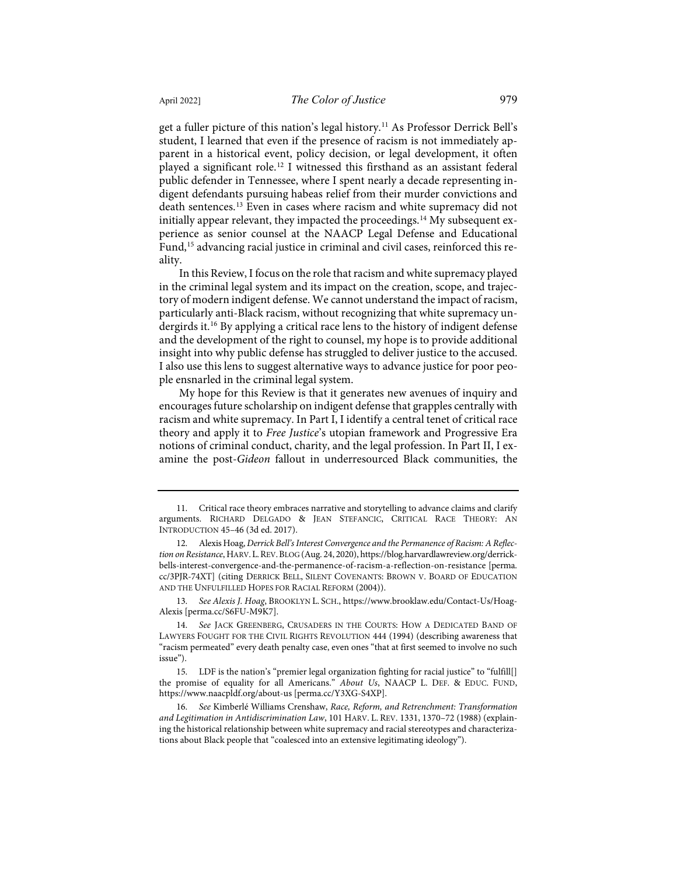<span id="page-3-6"></span>get a fuller picture of this nation's legal history.[11](#page-3-0) As Professor Derrick Bell's student, I learned that even if the presence of racism is not immediately apparent in a historical event, policy decision, or legal development, it often played a significant role.[12](#page-3-1) I witnessed this firsthand as an assistant federal public defender in Tennessee, where I spent nearly a decade representing indigent defendants pursuing habeas relief from their murder convictions and death sentences.[13](#page-3-2) Even in cases where racism and white supremacy did not initially appear relevant, they impacted the proceedings.<sup>[14](#page-3-3)</sup> My subsequent experience as senior counsel at the NAACP Legal Defense and Educational Fund,<sup>[15](#page-3-4)</sup> advancing racial justice in criminal and civil cases, reinforced this reality.

In this Review, I focus on the role that racism and white supremacy played in the criminal legal system and its impact on the creation, scope, and trajectory of modern indigent defense. We cannot understand the impact of racism, particularly anti-Black racism, without recognizing that white supremacy undergirds it.[16](#page-3-5) By applying a critical race lens to the history of indigent defense and the development of the right to counsel, my hope is to provide additional insight into why public defense has struggled to deliver justice to the accused. I also use this lens to suggest alternative ways to advance justice for poor people ensnarled in the criminal legal system.

My hope for this Review is that it generates new avenues of inquiry and encourages future scholarship on indigent defense that grapples centrally with racism and white supremacy. In Part I, I identify a central tenet of critical race theory and apply it to *Free Justice*'s utopian framework and Progressive Era notions of criminal conduct, charity, and the legal profession. In Part II, I examine the post-*Gideon* fallout in underresourced Black communities, the

<span id="page-3-2"></span>13. *See Alexis J. Hoag*, BROOKLYN L. SCH.[, https://www.brooklaw.edu/Contact-Us/Hoag-](https://www.brooklaw.edu/Contact-Us/Hoag-Alexis)[Alexis](https://www.brooklaw.edu/Contact-Us/Hoag-Alexis) [\[perma.cc/S6FU-M9K7\]](https://perma.cc/S6FU-M9K7).

<span id="page-3-0"></span><sup>11.</sup> Critical race theory embraces narrative and storytelling to advance claims and clarify arguments. RICHARD DELGADO & JEAN STEFANCIC, CRITICAL RACE THEORY: AN INTRODUCTION 45–46 (3d ed. 2017).

<span id="page-3-1"></span><sup>12.</sup> Alexis Hoag, *Derrick Bell's Interest Convergence and the Permanence of Racism: A Reflection on Resistance*, HARV.L.REV.BLOG (Aug. 24, 2020)[, https://blog.harvardlawreview.org/derrick](https://blog.harvardlawreview.org/derrick-bells-interest-convergence-and-the-permanence-of-racism-a-reflection-on-resistance/)[bells-interest-convergence-and-the-permanence-of-racism-a-reflection-on-resistance](https://blog.harvardlawreview.org/derrick-bells-interest-convergence-and-the-permanence-of-racism-a-reflection-on-resistance/) [\[perma.](https://perma.cc/3PJR-74XT) [cc/3PJR-74XT\]](https://perma.cc/3PJR-74XT) (citing DERRICK BELL, SILENT COVENANTS: BROWN V. BOARD OF EDUCATION AND THE UNFULFILLED HOPES FOR RACIAL REFORM (2004)).

<span id="page-3-3"></span><sup>14.</sup> *See* JACK GREENBERG, CRUSADERS IN THE COURTS: HOW A DEDICATED BAND OF LAWYERS FOUGHT FOR THE CIVIL RIGHTS REVOLUTION 444 (1994) (describing awareness that "racism permeated" every death penalty case, even ones "that at first seemed to involve no such issue").

<span id="page-3-4"></span><sup>15.</sup> LDF is the nation's "premier legal organization fighting for racial justice" to "fulfill[] the promise of equality for all Americans." *About Us*, NAACP L. DEF. & EDUC. FUND, [https://www.naacpldf.org/about-us](https://www.naacpldf.org/about-us/) [\[perma.cc/Y3XG-S4XP\]](https://perma.cc/Y3XG-S4XP).

<span id="page-3-5"></span><sup>16.</sup> *See* Kimberlé Williams Crenshaw, *Race, Reform, and Retrenchment: Transformation and Legitimation in Antidiscrimination Law*, 101 HARV. L. REV. 1331, 1370–72 (1988) (explaining the historical relationship between white supremacy and racial stereotypes and characterizations about Black people that "coalesced into an extensive legitimating ideology").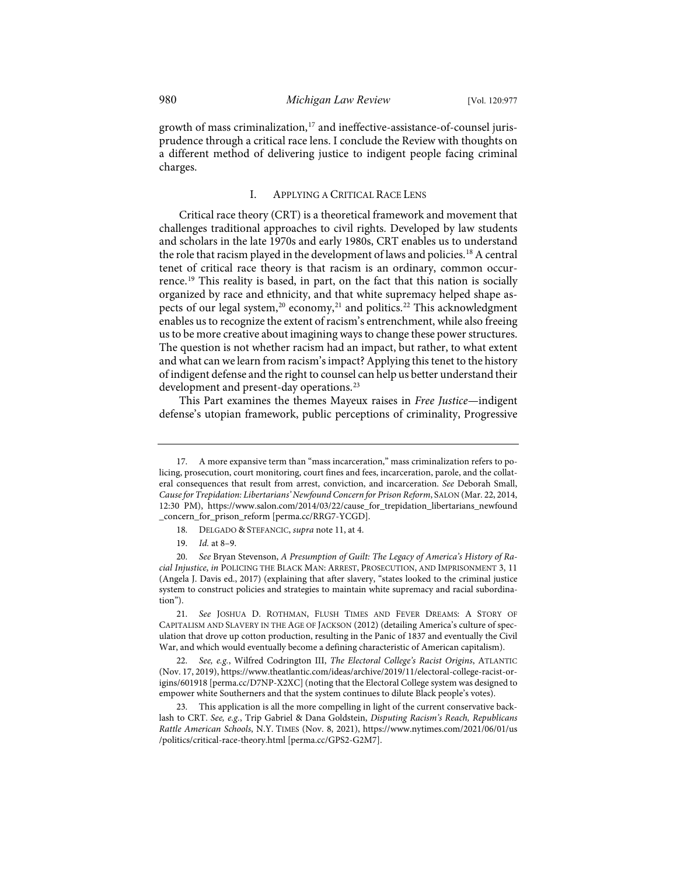growth of mass criminalization,<sup>[17](#page-4-0)</sup> and ineffective-assistance-of-counsel jurisprudence through a critical race lens. I conclude the Review with thoughts on a different method of delivering justice to indigent people facing criminal charges.

#### <span id="page-4-7"></span>I. APPLYING A CRITICAL RACE LENS

Critical race theory (CRT) is a theoretical framework and movement that challenges traditional approaches to civil rights. Developed by law students and scholars in the late 1970s and early 1980s, CRT enables us to understand the role that racism played in the development of laws and policies.<sup>[18](#page-4-1)</sup> A central tenet of critical race theory is that racism is an ordinary, common occurrence.[19](#page-4-2) This reality is based, in part, on the fact that this nation is socially organized by race and ethnicity, and that white supremacy helped shape as-pects of our legal system,<sup>[20](#page-4-3)</sup> economy,<sup>[21](#page-4-4)</sup> and politics.<sup>[22](#page-4-5)</sup> This acknowledgment enables us to recognize the extent of racism's entrenchment, while also freeing us to be more creative about imagining ways to change these power structures. The question is not whether racism had an impact, but rather, to what extent and what can we learn from racism's impact? Applying this tenet to the history of indigent defense and the right to counsel can help us better understand their development and present-day operations.<sup>[23](#page-4-6)</sup>

This Part examines the themes Mayeux raises in *Free Justice*—indigent defense's utopian framework, public perceptions of criminality, Progressive

<span id="page-4-0"></span><sup>17.</sup> A more expansive term than "mass incarceration," mass criminalization refers to policing, prosecution, court monitoring, court fines and fees, incarceration, parole, and the collateral consequences that result from arrest, conviction, and incarceration. *See* Deborah Small, *Cause for Trepidation: Libertarians' Newfound Concern for Prison Reform*, SALON (Mar. 22, 2014, 12:30 PM), [https://www.salon.com/2014/03/22/cause\\_for\\_trepidation\\_libertarians\\_newfound](https://www.salon.com/2014/03/22/cause_for_trepidation_libertarians_newfound%E2%80%8C_concern_for_prison_reform) [\\_concern\\_for\\_prison\\_reform](https://www.salon.com/2014/03/22/cause_for_trepidation_libertarians_newfound%E2%80%8C_concern_for_prison_reform) [\[perma.cc/RRG7-YCGD\]](https://perma.cc/RRG7-YCGD).

<sup>18.</sup> DELGADO & STEFANCIC, *supra* not[e 11,](#page-3-6) at 4.

<sup>19.</sup> *Id.* at 8–9.

<span id="page-4-3"></span><span id="page-4-2"></span><span id="page-4-1"></span><sup>20.</sup> *See* Bryan Stevenson, *A Presumption of Guilt: The Legacy of America's History of Racial Injustice*, *in* POLICING THE BLACK MAN: ARREST, PROSECUTION, AND IMPRISONMENT 3, 11 (Angela J. Davis ed., 2017) (explaining that after slavery, "states looked to the criminal justice system to construct policies and strategies to maintain white supremacy and racial subordination").

<span id="page-4-4"></span><sup>21.</sup> *See* JOSHUA D. ROTHMAN, FLUSH TIMES AND FEVER DREAMS: A STORY OF CAPITALISM AND SLAVERY IN THE AGE OF JACKSON (2012) (detailing America's culture of speculation that drove up cotton production, resulting in the Panic of 1837 and eventually the Civil War, and which would eventually become a defining characteristic of American capitalism).

<span id="page-4-5"></span><sup>22.</sup> *See, e.g.*, Wilfred Codrington III, *The Electoral College's Racist Origins*, ATLANTIC (Nov. 17, 2019)[, https://www.theatlantic.com/ideas/archive/2019/11/electoral-college-racist-or](https://www.theatlantic.com/ideas/archive/2019/11/electoral-college-racist-origins/601918/)[igins/601918](https://www.theatlantic.com/ideas/archive/2019/11/electoral-college-racist-origins/601918/) [\[perma.cc/D7NP-X2XC\]](https://perma.cc/D7NP-X2XC) (noting that the Electoral College system was designed to empower white Southerners and that the system continues to dilute Black people's votes).

<span id="page-4-6"></span><sup>23.</sup> This application is all the more compelling in light of the current conservative backlash to CRT. *See, e.g.*, Trip Gabriel & Dana Goldstein, *Disputing Racism's Reach, Republicans Rattle American Schools*, N.Y. TIMES (Nov. 8, 2021), [https://www.nytimes.com/2021/06/01/us](https://www.nytimes.com/2021/06/01/us%E2%80%8C/politics/critical-race-theory.html) [/politics/critical-race-theory.html](https://www.nytimes.com/2021/06/01/us%E2%80%8C/politics/critical-race-theory.html) [\[perma.cc/GPS2-G2M7\]](https://perma.cc/GPS2-G2M7).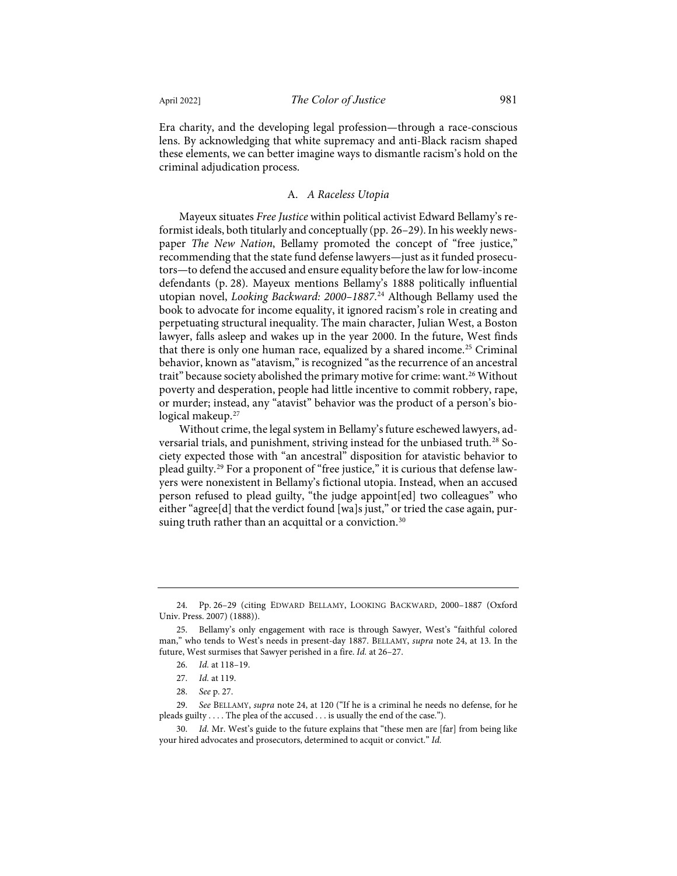Era charity, and the developing legal profession—through a race-conscious lens. By acknowledging that white supremacy and anti-Black racism shaped these elements, we can better imagine ways to dismantle racism's hold on the criminal adjudication process.

### <span id="page-5-0"></span>A. *A Raceless Utopia*

Mayeux situates *Free Justice* within political activist Edward Bellamy's reformist ideals, both titularly and conceptually (pp. 26–29). In his weekly newspaper *The New Nation*, Bellamy promoted the concept of "free justice," recommending that the state fund defense lawyers—just as it funded prosecutors—to defend the accused and ensure equality before the law for low-income defendants (p. 28). Mayeux mentions Bellamy's 1888 politically influential utopian novel, *Looking Backward: 2000–1887*. [24](#page-5-1) Although Bellamy used the book to advocate for income equality, it ignored racism's role in creating and perpetuating structural inequality. The main character, Julian West, a Boston lawyer, falls asleep and wakes up in the year 2000. In the future, West finds that there is only one human race, equalized by a shared income.<sup>[25](#page-5-2)</sup> Criminal behavior, known as "atavism," is recognized "as the recurrence of an ancestral trait" because society abolished the primary motive for crime: want.<sup>[26](#page-5-3)</sup> Without poverty and desperation, people had little incentive to commit robbery, rape, or murder; instead, any "atavist" behavior was the product of a person's bio-logical makeup.<sup>[27](#page-5-4)</sup>

Without crime, the legal system in Bellamy's future eschewed lawyers, ad-versarial trials, and punishment, striving instead for the unbiased truth.<sup>[28](#page-5-5)</sup> Society expected those with "an ancestral" disposition for atavistic behavior to plead guilty.[29](#page-5-6) For a proponent of "free justice," it is curious that defense lawyers were nonexistent in Bellamy's fictional utopia. Instead, when an accused person refused to plead guilty, "the judge appoint[ed] two colleagues" who either "agree[d] that the verdict found [wa]s just," or tried the case again, pur-suing truth rather than an acquittal or a conviction.<sup>[30](#page-5-7)</sup>

<span id="page-5-1"></span><sup>24.</sup> Pp. 26–29 (citing EDWARD BELLAMY, LOOKING BACKWARD, 2000–1887 (Oxford Univ. Press. 2007) (1888)).

<span id="page-5-3"></span><span id="page-5-2"></span><sup>25.</sup> Bellamy's only engagement with race is through Sawyer, West's "faithful colored man," who tends to West's needs in present-day 1887. BELLAMY, *supra* note [24,](#page-5-0) at 13. In the future, West surmises that Sawyer perished in a fire. *Id.* at 26–27.

<sup>26.</sup> *Id.* at 118–19.

<sup>27.</sup> *Id.* at 119.

<sup>28.</sup> *See* p. 27.

<span id="page-5-6"></span><span id="page-5-5"></span><span id="page-5-4"></span><sup>29.</sup> *See* BELLAMY, *supra* not[e 24,](#page-5-0) at 120 ("If he is a criminal he needs no defense, for he pleads guilty . . . . The plea of the accused . . . is usually the end of the case.").

<span id="page-5-7"></span><sup>30.</sup> *Id.* Mr. West's guide to the future explains that "these men are [far] from being like your hired advocates and prosecutors, determined to acquit or convict." *Id.*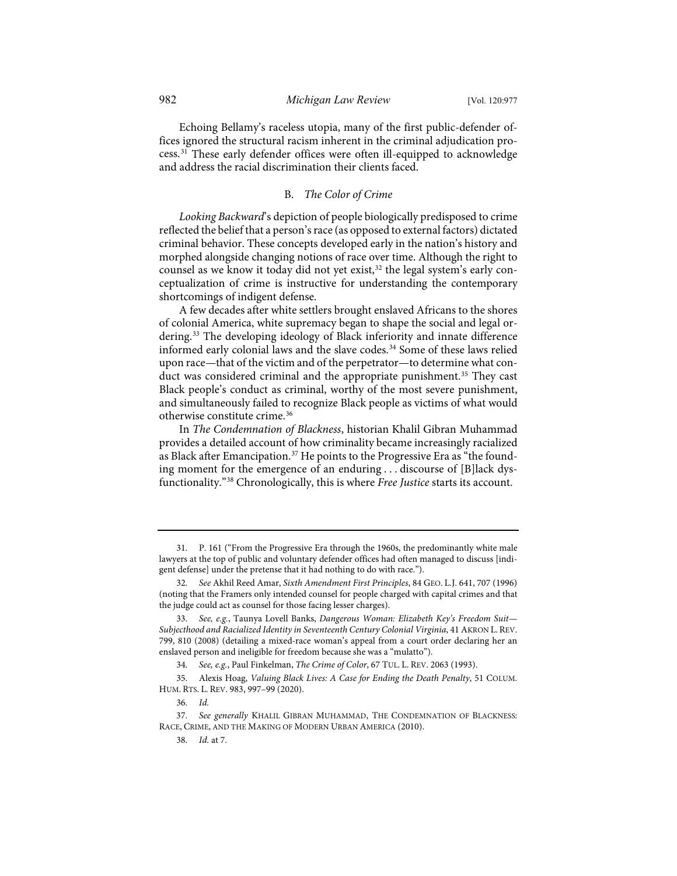Echoing Bellamy's raceless utopia, many of the first public-defender offices ignored the structural racism inherent in the criminal adjudication process.[31](#page-6-0) These early defender offices were often ill-equipped to acknowledge and address the racial discrimination their clients faced.

#### B. *The Color of Crime*

*Looking Backward*'s depiction of people biologically predisposed to crime reflected the belief that a person's race (as opposed to external factors) dictated criminal behavior. These concepts developed early in the nation's history and morphed alongside changing notions of race over time. Although the right to counsel as we know it today did not yet exist,<sup>32</sup> the legal system's early conceptualization of crime is instructive for understanding the contemporary shortcomings of indigent defense.

A few decades after white settlers brought enslaved Africans to the shores of colonial America, white supremacy began to shape the social and legal ordering.[33](#page-6-2) The developing ideology of Black inferiority and innate difference informed early colonial laws and the slave codes.<sup>[34](#page-6-3)</sup> Some of these laws relied upon race—that of the victim and of the perpetrator—to determine what con-duct was considered criminal and the appropriate punishment.<sup>[35](#page-6-4)</sup> They cast Black people's conduct as criminal, worthy of the most severe punishment, and simultaneously failed to recognize Black people as victims of what would otherwise constitute crime.[36](#page-6-5)

<span id="page-6-8"></span>In *The Condemnation of Blackness*, historian Khalil Gibran Muhammad provides a detailed account of how criminality became increasingly racialized as Black after Emancipation.<sup>[37](#page-6-6)</sup> He points to the Progressive Era as "the founding moment for the emergence of an enduring . . . discourse of [B]lack dysfunctionality."[38](#page-6-7) Chronologically, this is where *Free Justice* starts its account.

<span id="page-6-0"></span><sup>31.</sup> P. 161 ("From the Progressive Era through the 1960s, the predominantly white male lawyers at the top of public and voluntary defender offices had often managed to discuss [indigent defense] under the pretense that it had nothing to do with race.").

<span id="page-6-1"></span><sup>32.</sup> *See* Akhil Reed Amar, *Sixth Amendment First Principles*, 84 GEO. L.J. 641, 707 (1996) (noting that the Framers only intended counsel for people charged with capital crimes and that the judge could act as counsel for those facing lesser charges).

<span id="page-6-2"></span><sup>33.</sup> *See, e.g.*, Taunya Lovell Banks, *Dangerous Woman: Elizabeth Key's Freedom Suit— Subjecthood and Racialized Identity in Seventeenth Century Colonial Virginia*, 41 AKRON L. REV. 799, 810 (2008) (detailing a mixed-race woman's appeal from a court order declaring her an enslaved person and ineligible for freedom because she was a "mulatto").

<sup>34.</sup> *See, e.g.*, Paul Finkelman, *The Crime of Color*, 67 TUL. L. REV. 2063 (1993).

<span id="page-6-4"></span><span id="page-6-3"></span><sup>35.</sup> Alexis Hoag, *Valuing Black Lives: A Case for Ending the Death Penalty*, 51 COLUM. HUM. RTS. L. REV. 983, 997–99 (2020).

<sup>36.</sup> *Id.*

<span id="page-6-7"></span><span id="page-6-6"></span><span id="page-6-5"></span><sup>37.</sup> *See generally* KHALIL GIBRAN MUHAMMAD, THE CONDEMNATION OF BLACKNESS: RACE, CRIME, AND THE MAKING OF MODERN URBAN AMERICA (2010).

<sup>38.</sup> *Id.* at 7.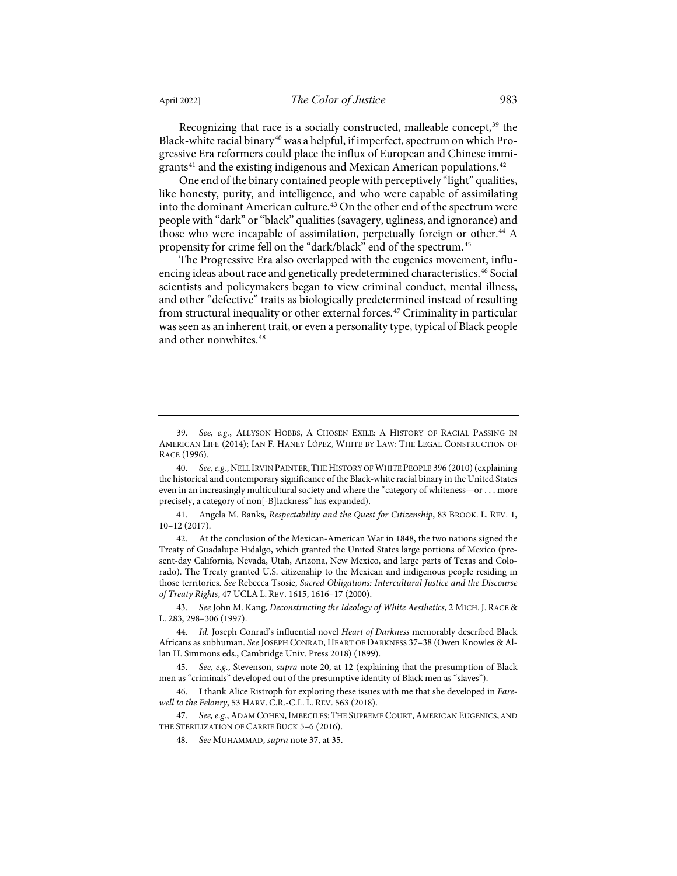Recognizing that race is a socially constructed, malleable concept,<sup>[39](#page-7-0)</sup> the Black-white racial binary<sup>[40](#page-7-1)</sup> was a helpful, if imperfect, spectrum on which Progressive Era reformers could place the influx of European and Chinese immi-grants<sup>[41](#page-7-2)</sup> and the existing indigenous and Mexican American populations.<sup>[42](#page-7-3)</sup>

<span id="page-7-10"></span>One end of the binary contained people with perceptively "light" qualities, like honesty, purity, and intelligence, and who were capable of assimilating into the dominant American culture.<sup>[43](#page-7-4)</sup> On the other end of the spectrum were people with "dark" or "black" qualities (savagery, ugliness, and ignorance) and those who were incapable of assimilation, perpetually foreign or other.<sup>[44](#page-7-5)</sup> A propensity for crime fell on the "dark/black" end of the spectrum.[45](#page-7-6)

The Progressive Era also overlapped with the eugenics movement, influ-encing ideas about race and genetically predetermined characteristics.<sup>[46](#page-7-7)</sup> Social scientists and policymakers began to view criminal conduct, mental illness, and other "defective" traits as biologically predetermined instead of resulting from structural inequality or other external forces.<sup>[47](#page-7-8)</sup> Criminality in particular was seen as an inherent trait, or even a personality type, typical of Black people and other nonwhites.<sup>[48](#page-7-9)</sup>

<span id="page-7-2"></span>41. Angela M. Banks, *Respectability and the Quest for Citizenship*, 83 BROOK. L. REV. 1, 10–12 (2017).

<span id="page-7-3"></span>42. At the conclusion of the Mexican-American War in 1848, the two nations signed the Treaty of Guadalupe Hidalgo, which granted the United States large portions of Mexico (present-day California, Nevada, Utah, Arizona, New Mexico, and large parts of Texas and Colorado). The Treaty granted U.S. citizenship to the Mexican and indigenous people residing in those territories. *See* Rebecca Tsosie, *Sacred Obligations: Intercultural Justice and the Discourse of Treaty Rights*, 47 UCLA L. REV. 1615, 1616–17 (2000).

<span id="page-7-4"></span>43. *See* John M. Kang, *Deconstructing the Ideology of White Aesthetics*, 2 MICH. J. RACE & L. 283, 298–306 (1997).

<span id="page-7-5"></span>44. *Id.* Joseph Conrad's influential novel *Heart of Darkness* memorably described Black Africans as subhuman. *See* JOSEPH CONRAD, HEART OF DARKNESS 37–38 (Owen Knowles & Allan H. Simmons eds., Cambridge Univ. Press 2018) (1899).

<span id="page-7-6"></span>45. *See, e.g.*, Stevenson, *supra* note [20,](#page-4-7) at 12 (explaining that the presumption of Black men as "criminals" developed out of the presumptive identity of Black men as "slaves").

<span id="page-7-7"></span>46. I thank Alice Ristroph for exploring these issues with me that she developed in *Farewell to the Felonry*, 53 HARV. C.R.-C.L. L. REV. 563 (2018).

<span id="page-7-9"></span><span id="page-7-8"></span>47. See, e.g., ADAM COHEN, IMBECILES: THE SUPREME COURT, AMERICAN EUGENICS, AND THE STERILIZATION OF CARRIE BUCK 5–6 (2016).

48. *See* MUHAMMAD, *supra* note [37,](#page-6-8) at 35.

<span id="page-7-0"></span><sup>39.</sup> *See, e.g.*, ALLYSON HOBBS, A CHOSEN EXILE: A HISTORY OF RACIAL PASSING IN AMERICAN LIFE (2014); IAN F. HANEY LÓPEZ, WHITE BY LAW: THE LEGAL CONSTRUCTION OF RACE (1996).

<span id="page-7-1"></span><sup>40.</sup> *See, e.g.*, NELL IRVIN PAINTER,THE HISTORY OF WHITE PEOPLE 396 (2010) (explaining the historical and contemporary significance of the Black-white racial binary in the United States even in an increasingly multicultural society and where the "category of whiteness—or . . . more precisely, a category of non[-B]lackness" has expanded).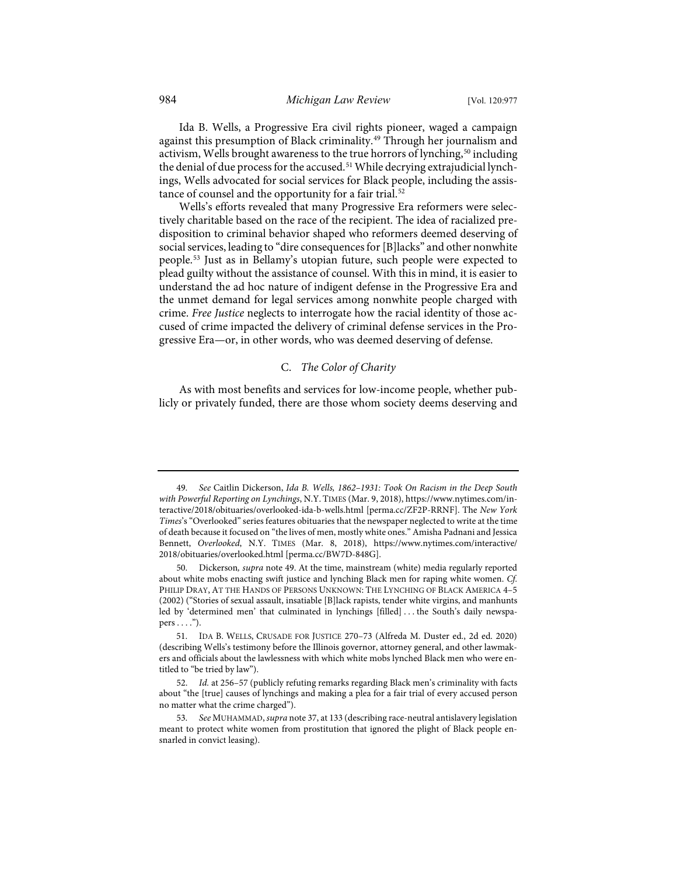<span id="page-8-6"></span><span id="page-8-0"></span>Ida B. Wells, a Progressive Era civil rights pioneer, waged a campaign against this presumption of Black criminality.<sup>[49](#page-8-1)</sup> Through her journalism and activism, Wells brought awareness to the true horrors of lynching,<sup>[50](#page-8-2)</sup> including the denial of due process for the accused.<sup>[51](#page-8-3)</sup> While decrying extrajudicial lynchings, Wells advocated for social services for Black people, including the assis-tance of counsel and the opportunity for a fair trial.<sup>[52](#page-8-4)</sup>

Wells's efforts revealed that many Progressive Era reformers were selectively charitable based on the race of the recipient. The idea of racialized predisposition to criminal behavior shaped who reformers deemed deserving of social services, leading to "dire consequences for [B]lacks" and other nonwhite people.[53](#page-8-5) Just as in Bellamy's utopian future, such people were expected to plead guilty without the assistance of counsel. With this in mind, it is easier to understand the ad hoc nature of indigent defense in the Progressive Era and the unmet demand for legal services among nonwhite people charged with crime. *Free Justice* neglects to interrogate how the racial identity of those accused of crime impacted the delivery of criminal defense services in the Progressive Era—or, in other words, who was deemed deserving of defense.

#### C. *The Color of Charity*

As with most benefits and services for low-income people, whether publicly or privately funded, there are those whom society deems deserving and

<span id="page-8-1"></span><sup>49.</sup> *See* Caitlin Dickerson, *Ida B. Wells, 1862–1931: Took On Racism in the Deep South with Powerful Reporting on Lynchings*, N.Y. TIMES (Mar. 9, 2018)[, https://www.nytimes.com/in](https://www.nytimes.com/interactive/2018/obituaries/overlooked-ida-b-wells.html)[teractive/2018/obituaries/overlooked-ida-b-wells.html](https://www.nytimes.com/interactive/2018/obituaries/overlooked-ida-b-wells.html) [\[perma.cc/ZF2P-RRNF\]](https://perma.cc/ZF2P-RRNF). The *New York Times*'s "Overlooked" series features obituaries that the newspaper neglected to write at the time of death because it focused on "the lives of men, mostly white ones." Amisha Padnani and Jessica Bennett, *Overlooked*, N.Y. TIMES (Mar. 8, 2018), [https://www.nytimes.com/interactive/](https://www.nytimes.com/interactive/2018/obituaries/overlooked.html) [2018/obituaries/overlooked.html](https://www.nytimes.com/interactive/2018/obituaries/overlooked.html) [\[perma.cc/BW7D-848G\]](https://perma.cc/BW7D-848G).

<span id="page-8-2"></span><sup>50.</sup> Dickerson*, supra* not[e 49.](#page-8-0) At the time, mainstream (white) media regularly reported about white mobs enacting swift justice and lynching Black men for raping white women. *Cf.* PHILIP DRAY, AT THE HANDS OF PERSONS UNKNOWN: THE LYNCHING OF BLACK AMERICA 4–5 (2002) ("Stories of sexual assault, insatiable [B]lack rapists, tender white virgins, and manhunts led by 'determined men' that culminated in lynchings [filled] . . . the South's daily newspa $pers \dots$ ").

<span id="page-8-3"></span><sup>51.</sup> IDA B. WELLS, CRUSADE FOR JUSTICE 270–73 (Alfreda M. Duster ed., 2d ed. 2020) (describing Wells's testimony before the Illinois governor, attorney general, and other lawmakers and officials about the lawlessness with which white mobs lynched Black men who were entitled to "be tried by law").

<span id="page-8-4"></span><sup>52.</sup> *Id.* at 256–57 (publicly refuting remarks regarding Black men's criminality with facts about "the [true] causes of lynchings and making a plea for a fair trial of every accused person no matter what the crime charged").

<span id="page-8-5"></span><sup>53.</sup> *See* MUHAMMAD, *supra* not[e 37,](#page-6-8) at 133 (describing race-neutral antislavery legislation meant to protect white women from prostitution that ignored the plight of Black people ensnarled in convict leasing).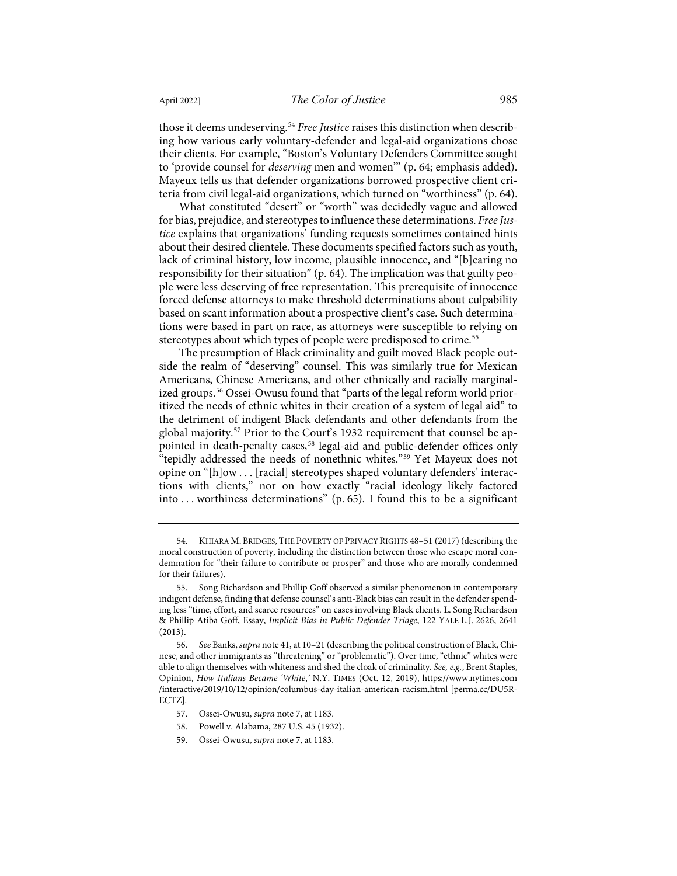those it deems undeserving.<sup>[54](#page-9-0)</sup> *Free Justice* raises this distinction when describing how various early voluntary-defender and legal-aid organizations chose their clients. For example, "Boston's Voluntary Defenders Committee sought to 'provide counsel for *deserving* men and women'" (p. 64; emphasis added). Mayeux tells us that defender organizations borrowed prospective client criteria from civil legal-aid organizations, which turned on "worthiness" (p. 64).

What constituted "desert" or "worth" was decidedly vague and allowed for bias, prejudice, and stereotypes to influence these determinations. *Free Justice* explains that organizations' funding requests sometimes contained hints about their desired clientele. These documents specified factors such as youth, lack of criminal history, low income, plausible innocence, and "[b]earing no responsibility for their situation" (p. 64). The implication was that guilty people were less deserving of free representation. This prerequisite of innocence forced defense attorneys to make threshold determinations about culpability based on scant information about a prospective client's case. Such determinations were based in part on race, as attorneys were susceptible to relying on stereotypes about which types of people were predisposed to crime.<sup>[55](#page-9-1)</sup>

<span id="page-9-6"></span>The presumption of Black criminality and guilt moved Black people outside the realm of "deserving" counsel. This was similarly true for Mexican Americans, Chinese Americans, and other ethnically and racially marginalized groups.<sup>56</sup> Ossei-Owusu found that "parts of the legal reform world prioritized the needs of ethnic whites in their creation of a system of legal aid" to the detriment of indigent Black defendants and other defendants from the global majority.<sup>57</sup> Prior to the Court's 1932 requirement that counsel be ap-pointed in death-penalty cases,<sup>[58](#page-9-4)</sup> legal-aid and public-defender offices only "tepidly addressed the needs of nonethnic whites."[59](#page-9-5) Yet Mayeux does not opine on "[h]ow . . . [racial] stereotypes shaped voluntary defenders' interactions with clients," nor on how exactly "racial ideology likely factored into . . . worthiness determinations" (p. 65). I found this to be a significant

- 57. Ossei-Owusu, *supra* not[e 7,](#page-2-7) at 1183.
- <span id="page-9-4"></span>58. Powell v. Alabama, 287 U.S. 45 (1932).
- <span id="page-9-5"></span>59. Ossei-Owusu, *supra* not[e 7,](#page-2-7) at 1183.

<span id="page-9-0"></span><sup>54.</sup> KHIARA M. BRIDGES, THE POVERTY OF PRIVACY RIGHTS 48–51 (2017) (describing the moral construction of poverty, including the distinction between those who escape moral condemnation for "their failure to contribute or prosper" and those who are morally condemned for their failures).

<span id="page-9-1"></span><sup>55.</sup> Song Richardson and Phillip Goff observed a similar phenomenon in contemporary indigent defense, finding that defense counsel's anti-Black bias can result in the defender spending less "time, effort, and scarce resources" on cases involving Black clients. L. Song Richardson & Phillip Atiba Goff, Essay, *Implicit Bias in Public Defender Triage*, 122 YALE L.J. 2626, 2641 (2013).

<span id="page-9-3"></span><span id="page-9-2"></span><sup>56.</sup> *See* Banks, *supra* not[e 41,](#page-7-10) at 10–21 (describing the political construction of Black, Chinese, and other immigrants as "threatening" or "problematic"). Over time, "ethnic" whites were able to align themselves with whiteness and shed the cloak of criminality. *See, e.g.*, Brent Staples, Opinion, *How Italians Became 'White*,*'* N.Y. TIMES (Oct. 12, 2019), [https://www.nytimes.com](https://www.nytimes.com/interactive/2019/10/12/opinion/columbus-day-italian-american-racism.html) [/interactive/2019/10/12/opinion/columbus-day-italian-american-racism.html](https://www.nytimes.com/interactive/2019/10/12/opinion/columbus-day-italian-american-racism.html) [\[perma.cc/DU5R-](https://perma.cc/DU5R-ECTZ)[ECTZ\]](https://perma.cc/DU5R-ECTZ).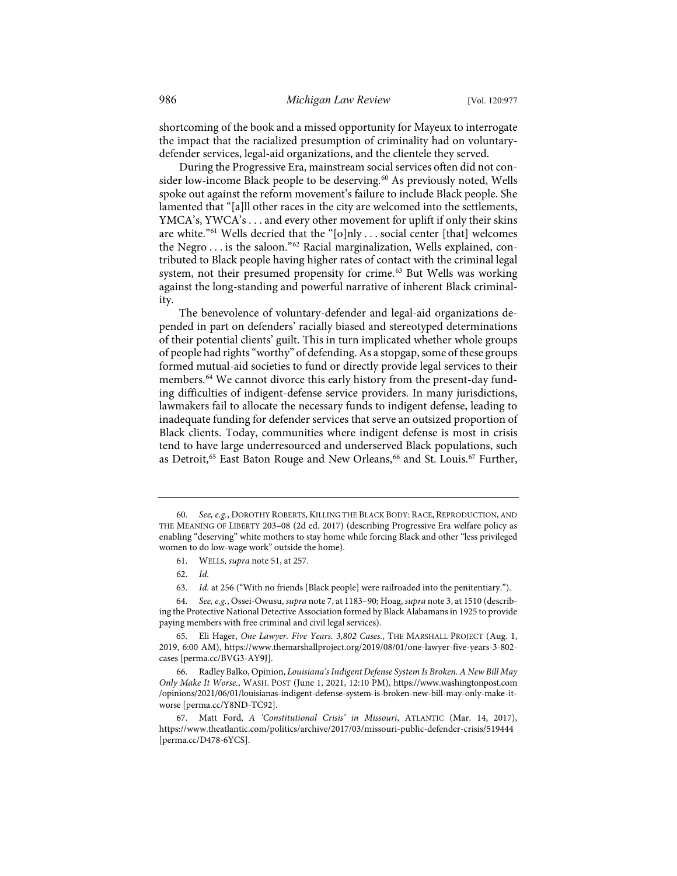shortcoming of the book and a missed opportunity for Mayeux to interrogate the impact that the racialized presumption of criminality had on voluntarydefender services, legal-aid organizations, and the clientele they served.

During the Progressive Era, mainstream social services often did not con-sider low-income Black people to be deserving.<sup>[60](#page-10-0)</sup> As previously noted, Wells spoke out against the reform movement's failure to include Black people. She lamented that "[a]ll other races in the city are welcomed into the settlements, YMCA's, YWCA's . . . and every other movement for uplift if only their skins are white."<sup>61</sup> Wells decried that the "[o]nly . . . social center [that] welcomes the Negro . . . is the saloon."[62](#page-10-2) Racial marginalization, Wells explained, contributed to Black people having higher rates of contact with the criminal legal system, not their presumed propensity for crime.<sup>[63](#page-10-3)</sup> But Wells was working against the long-standing and powerful narrative of inherent Black criminality.

The benevolence of voluntary-defender and legal-aid organizations depended in part on defenders' racially biased and stereotyped determinations of their potential clients' guilt. This in turn implicated whether whole groups of people had rights "worthy" of defending. As a stopgap, some of these groups formed mutual-aid societies to fund or directly provide legal services to their members.[64](#page-10-4) We cannot divorce this early history from the present-day funding difficulties of indigent-defense service providers. In many jurisdictions, lawmakers fail to allocate the necessary funds to indigent defense, leading to inadequate funding for defender services that serve an outsized proportion of Black clients. Today, communities where indigent defense is most in crisis tend to have large underresourced and underserved Black populations, such as Detroit,<sup>[65](#page-10-5)</sup> East Baton Rouge and New Orleans,<sup>[66](#page-10-6)</sup> and St. Louis.<sup>[67](#page-10-7)</sup> Further,

<span id="page-10-4"></span><span id="page-10-3"></span><span id="page-10-2"></span><span id="page-10-1"></span>64. *See, e.g.*, Ossei-Owusu, *supra* not[e 7,](#page-2-7) at 1183–90; Hoag, *supra* not[e 3,](#page-1-4) at 1510 (describing the Protective National Detective Association formed by Black Alabamans in 1925 to provide paying members with free criminal and civil legal services).

<span id="page-10-5"></span>65. Eli Hager, *One Lawyer. Five Years. 3,802 Cases.*, THE MARSHALL PROJECT (Aug. 1, 2019, 6:00 AM), [https://www.themarshallproject.org/2019/08/01/one-lawyer-five-years-3-802](https://www.themarshallproject.org/2019/08/01/one-lawyer-five-years-3-802-cases) [cases](https://www.themarshallproject.org/2019/08/01/one-lawyer-five-years-3-802-cases) [\[perma.cc/BVG3-AY9J\]](https://perma.cc/BVG3-AY9J).

<span id="page-10-6"></span>66. Radley Balko, Opinion, *Louisiana's Indigent Defense System Is Broken. A New Bill May Only Make It Worse.*, WASH. POST (June 1, 2021, 12:10 PM)[, https://www.washingtonpost.com](https://www.washingtonpost.com/opinions/2021/06/01/louisianas-indigent-defense-system-is-broken-new-bill-may-only-make-it-worse) [/opinions/2021/06/01/louisianas-indigent-defense-system-is-broken-new-bill-may-only-make-it](https://www.washingtonpost.com/opinions/2021/06/01/louisianas-indigent-defense-system-is-broken-new-bill-may-only-make-it-worse)[worse](https://www.washingtonpost.com/opinions/2021/06/01/louisianas-indigent-defense-system-is-broken-new-bill-may-only-make-it-worse) [\[perma.cc/Y8ND-TC92\]](https://perma.cc/Y8ND-TC92).

<span id="page-10-7"></span>67. Matt Ford, *A 'Constitutional Crisis' in Missouri*, ATLANTIC (Mar. 14, 2017), [https://www.theatlantic.com/politics/archive/2017/03/missouri-public-defender-crisis/519444](https://www.theatlantic.com/politics/archive/2017/03/missouri-public-defender-crisis/519444/) [\[perma.cc/D478-6YCS\]](https://perma.cc/D478-6YCS).

<span id="page-10-0"></span><sup>60.</sup> *See, e.g.*, DOROTHY ROBERTS, KILLING THE BLACK BODY: RACE, REPRODUCTION, AND THE MEANING OF LIBERTY 203–08 (2d ed. 2017) (describing Progressive Era welfare policy as enabling "deserving" white mothers to stay home while forcing Black and other "less privileged women to do low-wage work" outside the home).

<sup>61.</sup> WELLS, *supra* not[e 51,](#page-8-6) at 257.

<sup>62.</sup> *Id.*

<sup>63.</sup> *Id.* at 256 ("With no friends [Black people] were railroaded into the penitentiary.").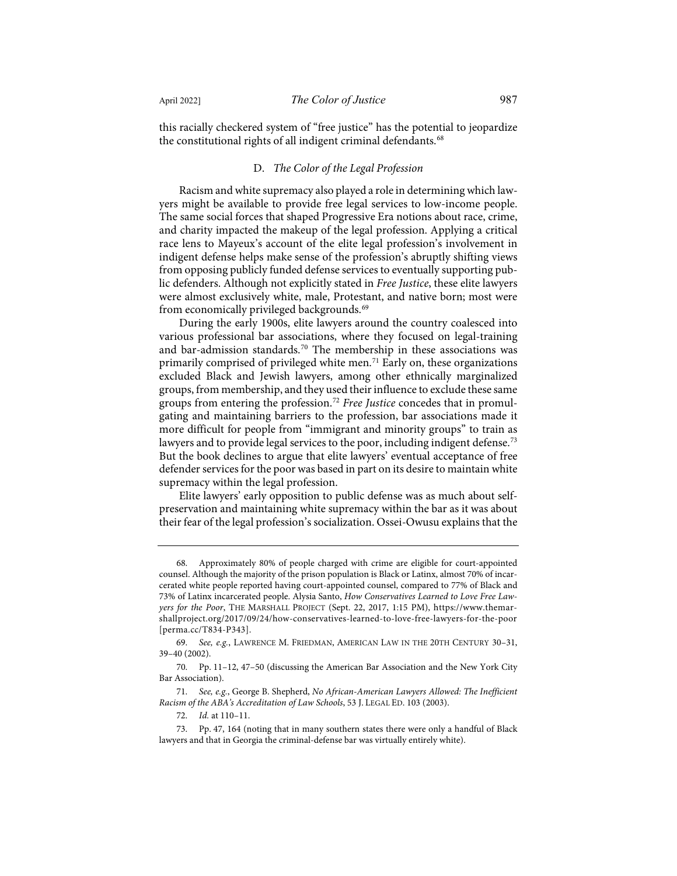this racially checkered system of "free justice" has the potential to jeopardize the constitutional rights of all indigent criminal defendants.<sup>[68](#page-11-0)</sup>

#### D. *The Color of the Legal Profession*

Racism and white supremacy also played a role in determining which lawyers might be available to provide free legal services to low-income people. The same social forces that shaped Progressive Era notions about race, crime, and charity impacted the makeup of the legal profession. Applying a critical race lens to Mayeux's account of the elite legal profession's involvement in indigent defense helps make sense of the profession's abruptly shifting views from opposing publicly funded defense services to eventually supporting public defenders. Although not explicitly stated in *Free Justice*, these elite lawyers were almost exclusively white, male, Protestant, and native born; most were from economically privileged backgrounds.<sup>[69](#page-11-1)</sup>

During the early 1900s, elite lawyers around the country coalesced into various professional bar associations, where they focused on legal-training and bar-admission standards.<sup>[70](#page-11-2)</sup> The membership in these associations was primarily comprised of privileged white men.<sup>[71](#page-11-3)</sup> Early on, these organizations excluded Black and Jewish lawyers, among other ethnically marginalized groups, from membership, and they used their influence to exclude these same groups from entering the profession.[72](#page-11-4) *Free Justice* concedes that in promulgating and maintaining barriers to the profession, bar associations made it more difficult for people from "immigrant and minority groups" to train as lawyers and to provide legal services to the poor, including indigent defense.<sup>[73](#page-11-5)</sup> But the book declines to argue that elite lawyers' eventual acceptance of free defender services for the poor was based in part on its desire to maintain white supremacy within the legal profession.

Elite lawyers' early opposition to public defense was as much about selfpreservation and maintaining white supremacy within the bar as it was about their fear of the legal profession's socialization. Ossei-Owusu explains that the

<span id="page-11-0"></span><sup>68.</sup> Approximately 80% of people charged with crime are eligible for court-appointed counsel. Although the majority of the prison population is Black or Latinx, almost 70% of incarcerated white people reported having court-appointed counsel, compared to 77% of Black and 73% of Latinx incarcerated people. Alysia Santo, *How Conservatives Learned to Love Free Lawyers for the Poor*, THE MARSHALL PROJECT (Sept. 22, 2017, 1:15 PM), [https://www.themar](https://www.themarshallproject.org/2017/09/24/how-conservatives-learned-to-love-free-lawyers-for-the-poor)[shallproject.org/2017/09/24/how-conservatives-learned-to-love-free-lawyers-for-the-poor](https://www.themarshallproject.org/2017/09/24/how-conservatives-learned-to-love-free-lawyers-for-the-poor) [\[perma.cc/T834-P343\]](https://perma.cc/T834-P343).

<span id="page-11-1"></span><sup>69.</sup> *See, e.g.*, LAWRENCE M. FRIEDMAN, AMERICAN LAW IN THE 20TH CENTURY 30–31, 39–40 (2002).

<span id="page-11-2"></span><sup>70.</sup> Pp. 11–12, 47–50 (discussing the American Bar Association and the New York City Bar Association).

<span id="page-11-3"></span><sup>71.</sup> *See, e.g.*, George B. Shepherd, *No African-American Lawyers Allowed: The Inefficient Racism of the ABA's Accreditation of Law Schools*, 53 J. LEGAL ED. 103 (2003).

<sup>72.</sup> *Id.* at 110–11.

<span id="page-11-5"></span><span id="page-11-4"></span><sup>73.</sup> Pp. 47, 164 (noting that in many southern states there were only a handful of Black lawyers and that in Georgia the criminal-defense bar was virtually entirely white).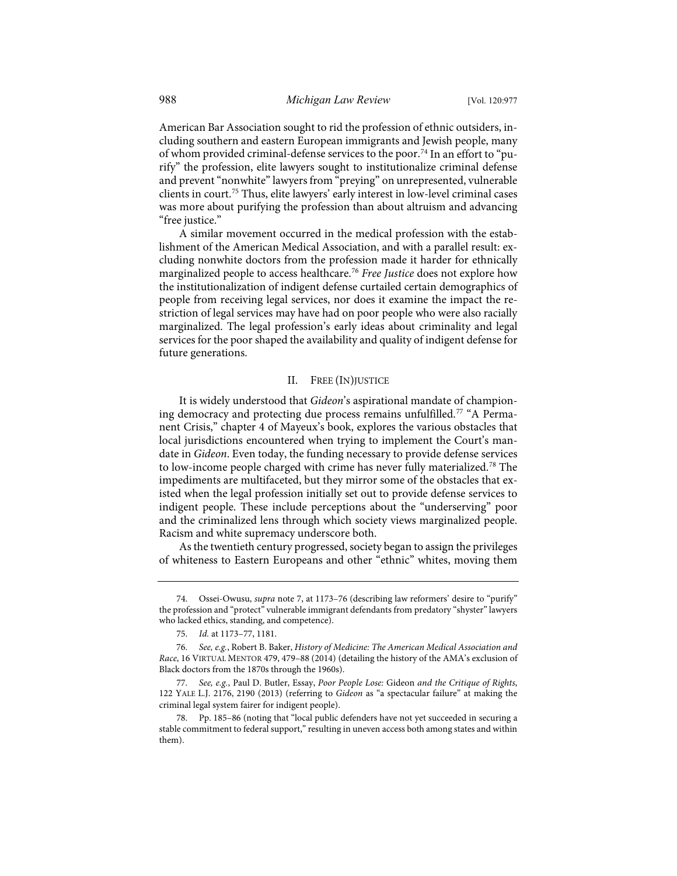American Bar Association sought to rid the profession of ethnic outsiders, including southern and eastern European immigrants and Jewish people, many of whom provided criminal-defense services to the poor.[74](#page-12-0) In an effort to "purify" the profession, elite lawyers sought to institutionalize criminal defense and prevent "nonwhite" lawyers from "preying" on unrepresented, vulnerable clients in court.[75](#page-12-1) Thus, elite lawyers' early interest in low-level criminal cases was more about purifying the profession than about altruism and advancing "free justice."

A similar movement occurred in the medical profession with the establishment of the American Medical Association, and with a parallel result: excluding nonwhite doctors from the profession made it harder for ethnically marginalized people to access healthcare.[76](#page-12-2) *Free Justice* does not explore how the institutionalization of indigent defense curtailed certain demographics of people from receiving legal services, nor does it examine the impact the restriction of legal services may have had on poor people who were also racially marginalized. The legal profession's early ideas about criminality and legal services for the poor shaped the availability and quality of indigent defense for future generations.

#### <span id="page-12-5"></span>II. FREE (IN)JUSTICE

It is widely understood that *Gideon*'s aspirational mandate of champion-ing democracy and protecting due process remains unfulfilled.<sup>[77](#page-12-3)</sup> "A Permanent Crisis," chapter 4 of Mayeux's book, explores the various obstacles that local jurisdictions encountered when trying to implement the Court's mandate in *Gideon*. Even today, the funding necessary to provide defense services to low-income people charged with crime has never fully materialized.[78](#page-12-4) The impediments are multifaceted, but they mirror some of the obstacles that existed when the legal profession initially set out to provide defense services to indigent people. These include perceptions about the "underserving" poor and the criminalized lens through which society views marginalized people. Racism and white supremacy underscore both.

As the twentieth century progressed, society began to assign the privileges of whiteness to Eastern Europeans and other "ethnic" whites, moving them

<span id="page-12-0"></span><sup>74.</sup> Ossei-Owusu, *supra* not[e 7,](#page-2-7) at 1173–76 (describing law reformers' desire to "purify" the profession and "protect" vulnerable immigrant defendants from predatory "shyster" lawyers who lacked ethics, standing, and competence).

<sup>75.</sup> *Id.* at 1173–77, 1181.

<span id="page-12-2"></span><span id="page-12-1"></span><sup>76.</sup> *See, e.g.*, Robert B. Baker, *History of Medicine: The American Medical Association and Race*, 16 VIRTUAL MENTOR 479, 479–88 (2014) (detailing the history of the AMA's exclusion of Black doctors from the 1870s through the 1960s).

<span id="page-12-3"></span><sup>77.</sup> *See, e.g.*, Paul D. Butler, Essay, *Poor People Lose:* Gideon *and the Critique of Rights*, 122 YALE L.J. 2176, 2190 (2013) (referring to *Gideon* as "a spectacular failure" at making the criminal legal system fairer for indigent people).

<span id="page-12-4"></span><sup>78.</sup> Pp. 185–86 (noting that "local public defenders have not yet succeeded in securing a stable commitment to federal support," resulting in uneven access both among states and within them).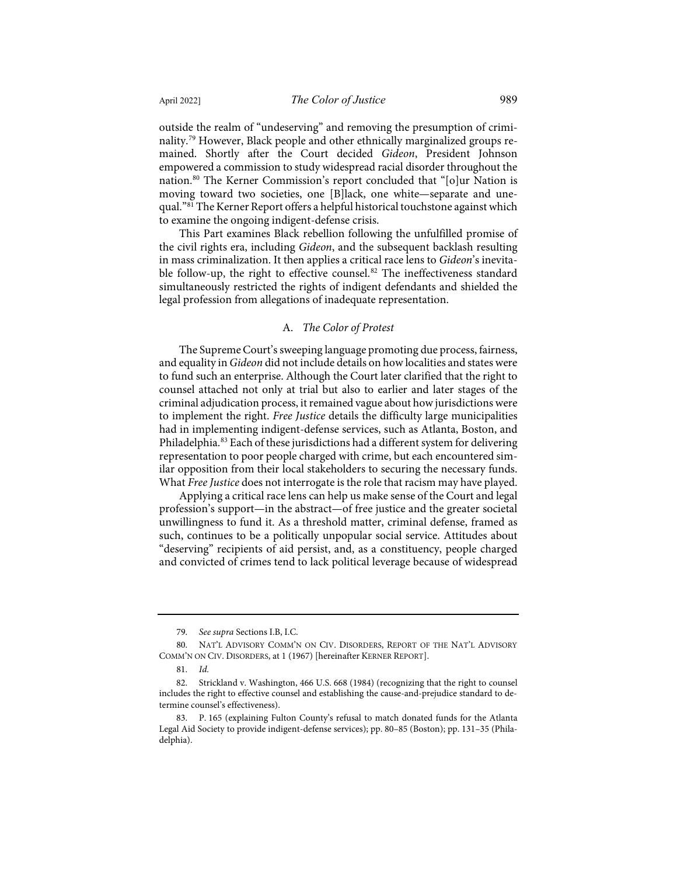<span id="page-13-5"></span>outside the realm of "undeserving" and removing the presumption of criminality.[79](#page-13-0) However, Black people and other ethnically marginalized groups remained. Shortly after the Court decided *Gideon*, President Johnson empowered a commission to study widespread racial disorder throughout the nation[.80](#page-13-1) The Kerner Commission's report concluded that "[o]ur Nation is moving toward two societies, one [B]lack, one white—separate and unequal."[81](#page-13-2) The Kerner Report offers a helpful historical touchstone against which to examine the ongoing indigent-defense crisis.

This Part examines Black rebellion following the unfulfilled promise of the civil rights era, including *Gideon*, and the subsequent backlash resulting in mass criminalization. It then applies a critical race lens to *Gideon*'s inevita-ble follow-up, the right to effective counsel.<sup>[82](#page-13-3)</sup> The ineffectiveness standard simultaneously restricted the rights of indigent defendants and shielded the legal profession from allegations of inadequate representation.

#### A. *The Color of Protest*

The Supreme Court's sweeping language promoting due process, fairness, and equality in *Gideon* did not include details on how localities and states were to fund such an enterprise. Although the Court later clarified that the right to counsel attached not only at trial but also to earlier and later stages of the criminal adjudication process, it remained vague about how jurisdictions were to implement the right. *Free Justice* details the difficulty large municipalities had in implementing indigent-defense services, such as Atlanta, Boston, and Philadelphia.<sup>[83](#page-13-4)</sup> Each of these jurisdictions had a different system for delivering representation to poor people charged with crime, but each encountered similar opposition from their local stakeholders to securing the necessary funds. What *Free Justice* does not interrogate is the role that racism may have played.

Applying a critical race lens can help us make sense of the Court and legal profession's support—in the abstract—of free justice and the greater societal unwillingness to fund it. As a threshold matter, criminal defense, framed as such, continues to be a politically unpopular social service. Attitudes about "deserving" recipients of aid persist, and, as a constituency, people charged and convicted of crimes tend to lack political leverage because of widespread

<sup>79.</sup> *See supra* Sections I.B, I.C.

<span id="page-13-1"></span><span id="page-13-0"></span><sup>80.</sup> NAT'L ADVISORY COMM'N ON CIV. DISORDERS, REPORT OF THE NAT'L ADVISORY COMM'N ON CIV. DISORDERS, at 1 (1967) [hereinafter KERNER REPORT].

<sup>81.</sup> *Id.*

<span id="page-13-3"></span><span id="page-13-2"></span><sup>82.</sup> Strickland v. Washington, 466 U.S. 668 (1984) (recognizing that the right to counsel includes the right to effective counsel and establishing the cause-and-prejudice standard to determine counsel's effectiveness).

<span id="page-13-4"></span><sup>83.</sup> P. 165 (explaining Fulton County's refusal to match donated funds for the Atlanta Legal Aid Society to provide indigent-defense services); pp. 80–85 (Boston); pp. 131–35 (Philadelphia).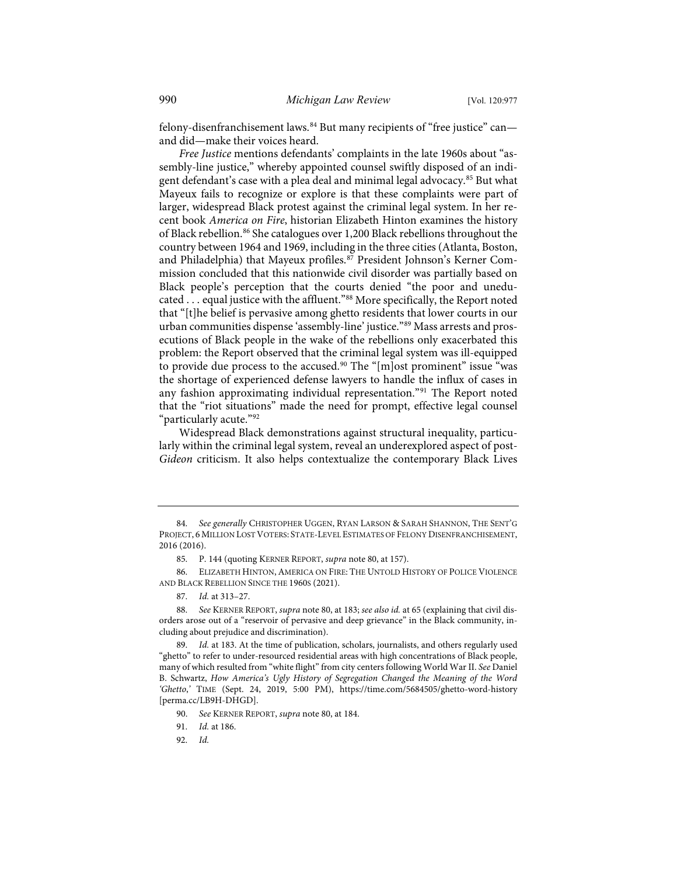felony-disenfranchisement laws.<sup>[84](#page-14-0)</sup> But many recipients of "free justice" canand did—make their voices heard.

<span id="page-14-9"></span>*Free Justice* mentions defendants' complaints in the late 1960s about "assembly-line justice," whereby appointed counsel swiftly disposed of an indigent defendant's case with a plea deal and minimal legal advocacy.[85](#page-14-1) But what Mayeux fails to recognize or explore is that these complaints were part of larger, widespread Black protest against the criminal legal system. In her recent book *America on Fire*, historian Elizabeth Hinton examines the history of Black rebellion.<sup>[86](#page-14-2)</sup> She catalogues over 1,200 Black rebellions throughout the country between 1964 and 1969, including in the three cities (Atlanta, Boston, and Philadelphia) that Mayeux profiles.<sup>[87](#page-14-3)</sup> President Johnson's Kerner Commission concluded that this nationwide civil disorder was partially based on Black people's perception that the courts denied "the poor and uneducated . . . equal justice with the affluent."[88](#page-14-4) More specifically, the Report noted that "[t]he belief is pervasive among ghetto residents that lower courts in our urban communities dispense 'assembly-line' justice."[89](#page-14-5) Mass arrests and prosecutions of Black people in the wake of the rebellions only exacerbated this problem: the Report observed that the criminal legal system was ill-equipped to provide due process to the accused.<sup>[90](#page-14-6)</sup> The "[m]ost prominent" issue "was the shortage of experienced defense lawyers to handle the influx of cases in any fashion approximating individual representation."[91](#page-14-7) The Report noted that the "riot situations" made the need for prompt, effective legal counsel "particularly acute."[92](#page-14-8)

Widespread Black demonstrations against structural inequality, particularly within the criminal legal system, reveal an underexplored aspect of post-*Gideon* criticism. It also helps contextualize the contemporary Black Lives

<span id="page-14-2"></span><span id="page-14-1"></span>86. ELIZABETH HINTON, AMERICA ON FIRE: THE UNTOLD HISTORY OF POLICE VIOLENCE AND BLACK REBELLION SINCE THE 1960S (2021).

87. *Id.* at 313–27.

<span id="page-14-4"></span><span id="page-14-3"></span>88. *See* KERNER REPORT, *supra* not[e 80,](#page-13-5) at 183; *see also id.* at 65 (explaining that civil disorders arose out of a "reservoir of pervasive and deep grievance" in the Black community, including about prejudice and discrimination).

<span id="page-14-6"></span><span id="page-14-5"></span>89. *Id.* at 183. At the time of publication, scholars, journalists, and others regularly used "ghetto" to refer to under-resourced residential areas with high concentrations of Black people, many of which resulted from "white flight" from city centers following World War II. *See* Daniel B. Schwartz, *How America's Ugly History of Segregation Changed the Meaning of the Word 'Ghetto*,*'* TIME (Sept. 24, 2019, 5:00 PM), [https://time.com/5684505/ghetto-word-history](https://time.com/5684505/ghetto-word-history/) [\[perma.cc/LB9H-DHGD\]](https://perma.cc/LB9H-DHGD).

<span id="page-14-7"></span>91. *Id.* at 186.

<span id="page-14-0"></span><sup>84.</sup> *See generally* CHRISTOPHER UGGEN, RYAN LARSON & SARAH SHANNON, THE SENT'G PROJECT, 6 MILLION LOST VOTERS: STATE-LEVEL ESTIMATES OF FELONY DISENFRANCHISEMENT, 2016 (2016).

<sup>85.</sup> P. 144 (quoting KERNER REPORT, *supra* not[e 80,](#page-13-5) at 157).

<sup>90.</sup> *See* KERNER REPORT, *supra* not[e 80,](#page-13-5) at 184.

<span id="page-14-8"></span><sup>92.</sup> *Id.*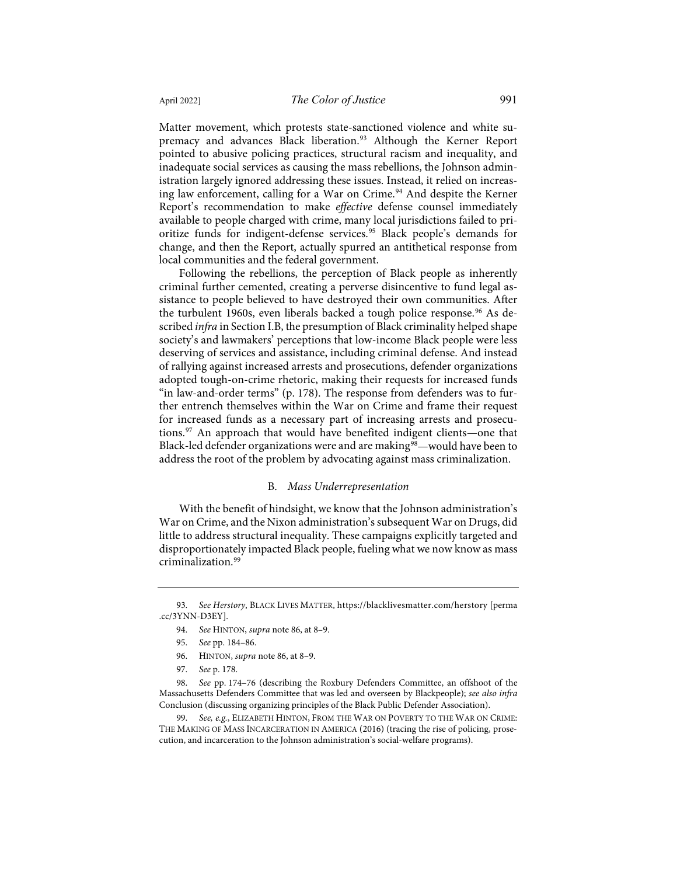Matter movement, which protests state-sanctioned violence and white su-premacy and advances Black liberation.<sup>[93](#page-15-0)</sup> Although the Kerner Report pointed to abusive policing practices, structural racism and inequality, and inadequate social services as causing the mass rebellions, the Johnson administration largely ignored addressing these issues. Instead, it relied on increas-ing law enforcement, calling for a War on Crime.<sup>[94](#page-15-1)</sup> And despite the Kerner Report's recommendation to make *effective* defense counsel immediately available to people charged with crime, many local jurisdictions failed to pri-oritize funds for indigent-defense services.<sup>[95](#page-15-2)</sup> Black people's demands for change, and then the Report, actually spurred an antithetical response from local communities and the federal government.

Following the rebellions, the perception of Black people as inherently criminal further cemented, creating a perverse disincentive to fund legal assistance to people believed to have destroyed their own communities. After the turbulent 1[96](#page-15-3)0s, even liberals backed a tough police response.<sup>96</sup> As described *infra* in Section I.B, the presumption of Black criminality helped shape society's and lawmakers' perceptions that low-income Black people were less deserving of services and assistance, including criminal defense. And instead of rallying against increased arrests and prosecutions, defender organizations adopted tough-on-crime rhetoric, making their requests for increased funds "in law-and-order terms" (p. 178). The response from defenders was to further entrench themselves within the War on Crime and frame their request for increased funds as a necessary part of increasing arrests and prosecutions.[97](#page-15-4) An approach that would have benefited indigent clients—one that Black-led defender organizations were and are making<sup>98</sup>—would have been to address the root of the problem by advocating against mass criminalization.

#### B. *Mass Underrepresentation*

With the benefit of hindsight, we know that the Johnson administration's War on Crime, and the Nixon administration's subsequent War on Drugs, did little to address structural inequality. These campaigns explicitly targeted and disproportionately impacted Black people, fueling what we now know as mass criminalization[.99](#page-15-6)

<span id="page-15-2"></span><span id="page-15-1"></span><span id="page-15-0"></span><sup>93.</sup> *See Herstory*, BLACK LIVES MATTER, [https://blacklivesmatter.com/herstory](https://blacklivesmatter.com/herstory/) [\[perma](https://perma.cc/3YNN-D3EY) [.cc/3YNN-D3EY\]](https://perma.cc/3YNN-D3EY).

<sup>94.</sup> *See* HINTON, *supra* not[e 86,](#page-14-9) at 8–9.

<sup>95.</sup> *See* pp. 184–86.

<sup>96.</sup> HINTON, *supra* not[e 86,](#page-14-9) at 8–9.

<sup>97.</sup> *See* p. 178.

<span id="page-15-5"></span><span id="page-15-4"></span><span id="page-15-3"></span><sup>98.</sup> *See* pp. 174–76 (describing the Roxbury Defenders Committee, an offshoot of the Massachusetts Defenders Committee that was led and overseen by Blackpeople); *see also infra* Conclusion (discussing organizing principles of the Black Public Defender Association).

<span id="page-15-6"></span><sup>99.</sup> *See, e.g.*, ELIZABETH HINTON, FROM THE WAR ON POVERTY TO THE WAR ON CRIME: THE MAKING OF MASS INCARCERATION IN AMERICA (2016) (tracing the rise of policing, prosecution, and incarceration to the Johnson administration's social-welfare programs).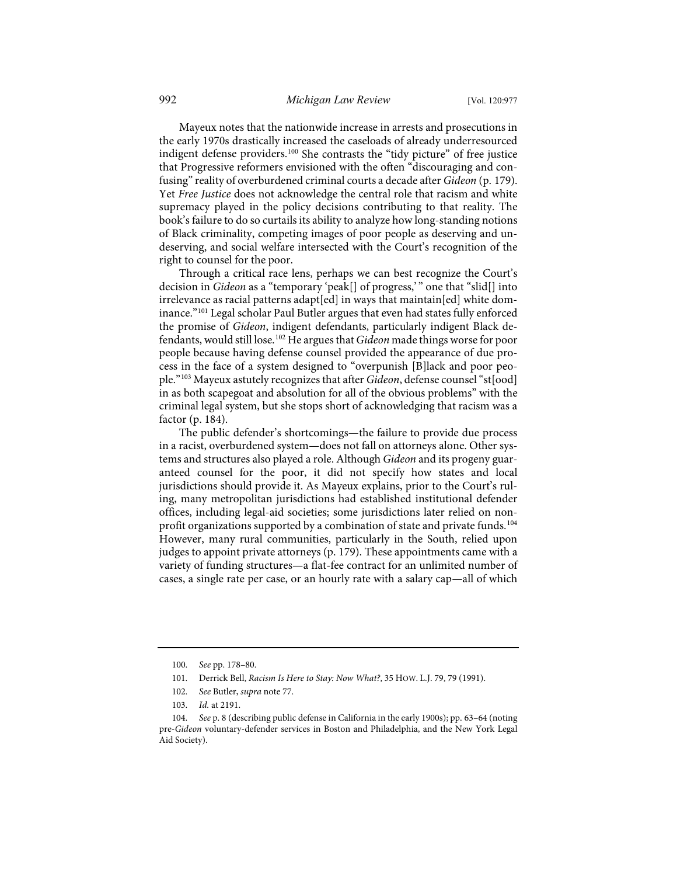Mayeux notes that the nationwide increase in arrests and prosecutions in the early 1970s drastically increased the caseloads of already underresourced indigent defense providers[.100](#page-16-0) She contrasts the "tidy picture" of free justice that Progressive reformers envisioned with the often "discouraging and confusing" reality of overburdened criminal courts a decade after *Gideon* (p. 179). Yet *Free Justice* does not acknowledge the central role that racism and white supremacy played in the policy decisions contributing to that reality. The book's failure to do so curtails its ability to analyze how long-standing notions of Black criminality, competing images of poor people as deserving and undeserving, and social welfare intersected with the Court's recognition of the right to counsel for the poor.

<span id="page-16-5"></span>Through a critical race lens, perhaps we can best recognize the Court's decision in *Gideon* as a "temporary 'peak[] of progress,' " one that "slid[] into irrelevance as racial patterns adapt [ed] in ways that maintain [ed] white dominance."[101](#page-16-1) Legal scholar Paul Butler argues that even had states fully enforced the promise of *Gideon*, indigent defendants, particularly indigent Black defendants, would still lose.[102](#page-16-2) He argues that *Gideon* made things worse for poor people because having defense counsel provided the appearance of due process in the face of a system designed to "overpunish [B]lack and poor people."[103](#page-16-3) Mayeux astutely recognizes that after *Gideon*, defense counsel "st[ood] in as both scapegoat and absolution for all of the obvious problems" with the criminal legal system, but she stops short of acknowledging that racism was a factor (p. 184).

The public defender's shortcomings—the failure to provide due process in a racist, overburdened system—does not fall on attorneys alone. Other systems and structures also played a role. Although *Gideon* and its progeny guaranteed counsel for the poor, it did not specify how states and local jurisdictions should provide it. As Mayeux explains, prior to the Court's ruling, many metropolitan jurisdictions had established institutional defender offices, including legal-aid societies; some jurisdictions later relied on non-profit organizations supported by a combination of state and private funds.<sup>[104](#page-16-4)</sup> However, many rural communities, particularly in the South, relied upon judges to appoint private attorneys (p. 179). These appointments came with a variety of funding structures—a flat-fee contract for an unlimited number of cases, a single rate per case, or an hourly rate with a salary cap—all of which

<sup>100.</sup> *See* pp. 178–80.

<sup>101.</sup> Derrick Bell, *Racism Is Here to Stay: Now What?*, 35 HOW. L.J. 79, 79 (1991).

<sup>102.</sup> *See* Butler, *supra* not[e 77.](#page-12-5) 

<sup>103.</sup> *Id.* at 2191.

<span id="page-16-4"></span><span id="page-16-3"></span><span id="page-16-2"></span><span id="page-16-1"></span><span id="page-16-0"></span><sup>104.</sup> *See* p. 8 (describing public defense in California in the early 1900s); pp. 63–64 (noting pre-*Gideon* voluntary-defender services in Boston and Philadelphia, and the New York Legal Aid Society).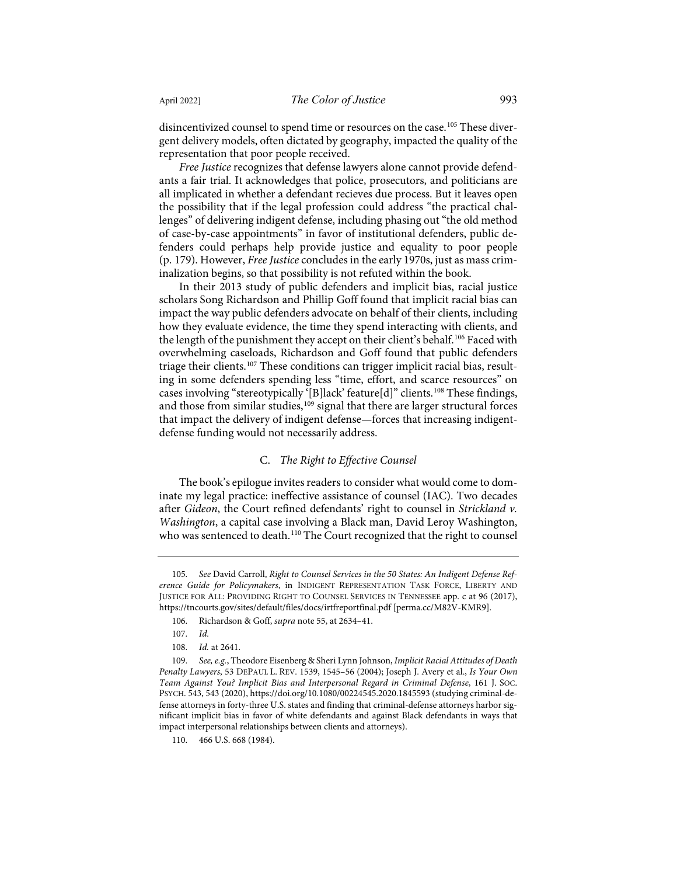disincentivized counsel to spend time or resources on the case.<sup>[105](#page-17-0)</sup> These divergent delivery models, often dictated by geography, impacted the quality of the representation that poor people received.

*Free Justice* recognizes that defense lawyers alone cannot provide defendants a fair trial. It acknowledges that police, prosecutors, and politicians are all implicated in whether a defendant recieves due process. But it leaves open the possibility that if the legal profession could address "the practical challenges" of delivering indigent defense, including phasing out "the old method of case-by-case appointments" in favor of institutional defenders, public defenders could perhaps help provide justice and equality to poor people (p. 179). However, *Free Justice* concludes in the early 1970s, just as mass criminalization begins, so that possibility is not refuted within the book.

In their 2013 study of public defenders and implicit bias, racial justice scholars Song Richardson and Phillip Goff found that implicit racial bias can impact the way public defenders advocate on behalf of their clients, including how they evaluate evidence, the time they spend interacting with clients, and the length of the punishment they accept on their client's behalf.<sup>[106](#page-17-1)</sup> Faced with overwhelming caseloads, Richardson and Goff found that public defenders triage their clients.[107](#page-17-2) These conditions can trigger implicit racial bias, resulting in some defenders spending less "time, effort, and scarce resources" on cases involving "stereotypically '[B]lack' feature[d]" clients.[108](#page-17-3) These findings, and those from similar studies,<sup>[109](#page-17-4)</sup> signal that there are larger structural forces that impact the delivery of indigent defense—forces that increasing indigentdefense funding would not necessarily address.

#### C. *The Right to Effective Counsel*

The book's epilogue invites readers to consider what would come to dominate my legal practice: ineffective assistance of counsel (IAC). Two decades after *Gideon*, the Court refined defendants' right to counsel in *Strickland v. Washington*, a capital case involving a Black man, David Leroy Washington, who was sentenced to death.<sup>[110](#page-17-5)</sup> The Court recognized that the right to counsel

<span id="page-17-0"></span><sup>105.</sup> *See* David Carroll, *Right to Counsel Services in the 50 States: An Indigent Defense Reference Guide for Policymakers*, in INDIGENT REPRESENTATION TASK FORCE, LIBERTY AND JUSTICE FOR ALL: PROVIDING RIGHT TO COUNSEL SERVICES IN TENNESSEE app. c at 96 (2017), <https://tncourts.gov/sites/default/files/docs/irtfreportfinal.pdf>[\[perma.cc/M82V-KMR9\]](https://perma.cc/M82V-KMR9).

<sup>106.</sup> Richardson & Goff, *supra* not[e 55,](#page-9-6) at 2634–41.

<sup>107.</sup> *Id.*

<sup>108.</sup> *Id.* at 2641.

<span id="page-17-4"></span><span id="page-17-3"></span><span id="page-17-2"></span><span id="page-17-1"></span><sup>109.</sup> *See, e.g.*, Theodore Eisenberg & Sheri Lynn Johnson, *Implicit Racial Attitudes of Death Penalty Lawyers*, 53 DEPAUL L. REV. 1539, 1545–56 (2004); Joseph J. Avery et al., *Is Your Own Team Against You? Implicit Bias and Interpersonal Regard in Criminal Defense*, 161 J. SOC. PSYCH. 543, 543 (2020)[, https://doi.org/10.1080/00224545.2020.1845593](https://doi.org/10.1080/00224545.2020.1845593) (studying criminal-defense attorneys in forty-three U.S. states and finding that criminal-defense attorneys harbor significant implicit bias in favor of white defendants and against Black defendants in ways that impact interpersonal relationships between clients and attorneys).

<span id="page-17-5"></span><sup>110. 466</sup> U.S. 668 (1984).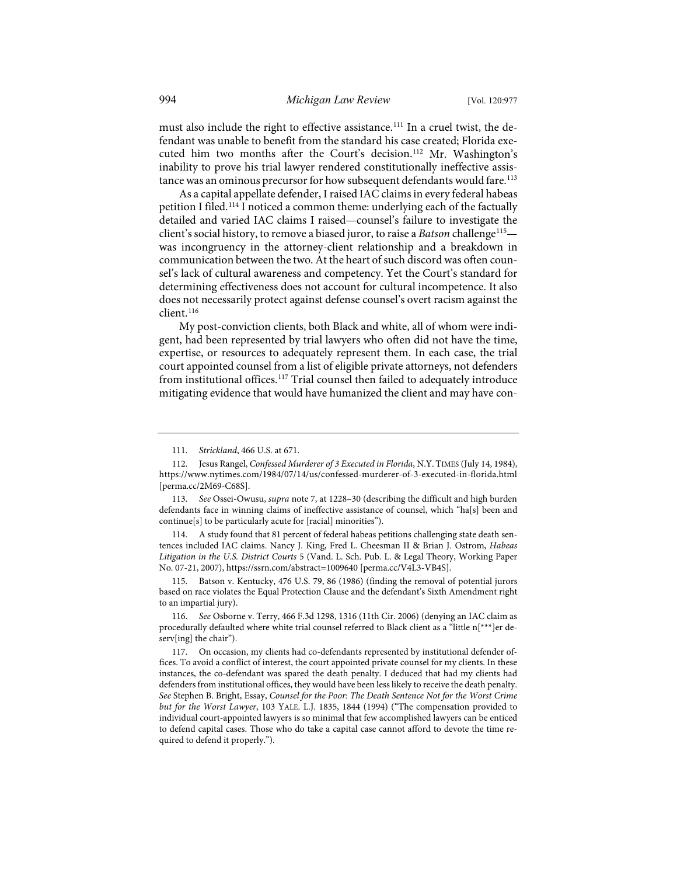must also include the right to effective assistance.<sup>[111](#page-18-0)</sup> In a cruel twist, the defendant was unable to benefit from the standard his case created; Florida executed him two months after the Court's decision.<sup>112</sup> Mr. Washington's inability to prove his trial lawyer rendered constitutionally ineffective assis-tance was an ominous precursor for how subsequent defendants would fare.<sup>[113](#page-18-2)</sup>

As a capital appellate defender, I raised IAC claims in every federal habeas petition I filed.<sup>[114](#page-18-3)</sup> I noticed a common theme: underlying each of the factually detailed and varied IAC claims I raised—counsel's failure to investigate the client's social history, to remove a biased juror, to raise a *Batson* challenge<sup>[115](#page-18-4)</sup> was incongruency in the attorney-client relationship and a breakdown in communication between the two. At the heart of such discord was often counsel's lack of cultural awareness and competency. Yet the Court's standard for determining effectiveness does not account for cultural incompetence. It also does not necessarily protect against defense counsel's overt racism against the client.[116](#page-18-5)

My post-conviction clients, both Black and white, all of whom were indigent, had been represented by trial lawyers who often did not have the time, expertise, or resources to adequately represent them. In each case, the trial court appointed counsel from a list of eligible private attorneys, not defenders from institutional offices.<sup>[117](#page-18-6)</sup> Trial counsel then failed to adequately introduce mitigating evidence that would have humanized the client and may have con-

<span id="page-18-3"></span>114. A study found that 81 percent of federal habeas petitions challenging state death sentences included IAC claims. Nancy J. King, Fred L. Cheesman II & Brian J. Ostrom, *Habeas Litigation in the U.S. District Courts* 5 (Vand. L. Sch. Pub. L. & Legal Theory, Working Paper No. 07-21, 2007),<https://ssrn.com/abstract=1009640>[\[perma.cc/V4L3-VB4S\]](https://perma.cc/V4L3-VB4S).

<span id="page-18-4"></span>115. Batson v. Kentucky, 476 U.S. 79, 86 (1986) (finding the removal of potential jurors based on race violates the Equal Protection Clause and the defendant's Sixth Amendment right to an impartial jury).

<span id="page-18-5"></span>116. *See* Osborne v. Terry, 466 F.3d 1298, 1316 (11th Cir. 2006) (denying an IAC claim as procedurally defaulted where white trial counsel referred to Black client as a "little n[\*\*\*]er deserv[ing] the chair").

<sup>111.</sup> *Strickland*, 466 U.S. at 671.

<span id="page-18-1"></span><span id="page-18-0"></span><sup>112.</sup> Jesus Rangel, *Confessed Murderer of 3 Executed in Florida*, N.Y.TIMES (July 14, 1984), <https://www.nytimes.com/1984/07/14/us/confessed-murderer-of-3-executed-in-florida.html> [\[perma.cc/2M69-C68S\]](https://perma.cc/2M69-C68S).

<span id="page-18-2"></span><sup>113.</sup> *See* Ossei-Owusu, *supra* not[e 7,](#page-2-7) at 1228–30 (describing the difficult and high burden defendants face in winning claims of ineffective assistance of counsel, which "ha[s] been and continue[s] to be particularly acute for [racial] minorities").

<span id="page-18-6"></span><sup>117.</sup> On occasion, my clients had co-defendants represented by institutional defender offices. To avoid a conflict of interest, the court appointed private counsel for my clients. In these instances, the co-defendant was spared the death penalty. I deduced that had my clients had defenders from institutional offices, they would have been less likely to receive the death penalty. *See* Stephen B. Bright, Essay, *Counsel for the Poor: The Death Sentence Not for the Worst Crime but for the Worst Lawyer*, 103 YALE. L.J. 1835, 1844 (1994) ("The compensation provided to individual court-appointed lawyers is so minimal that few accomplished lawyers can be enticed to defend capital cases. Those who do take a capital case cannot afford to devote the time required to defend it properly.").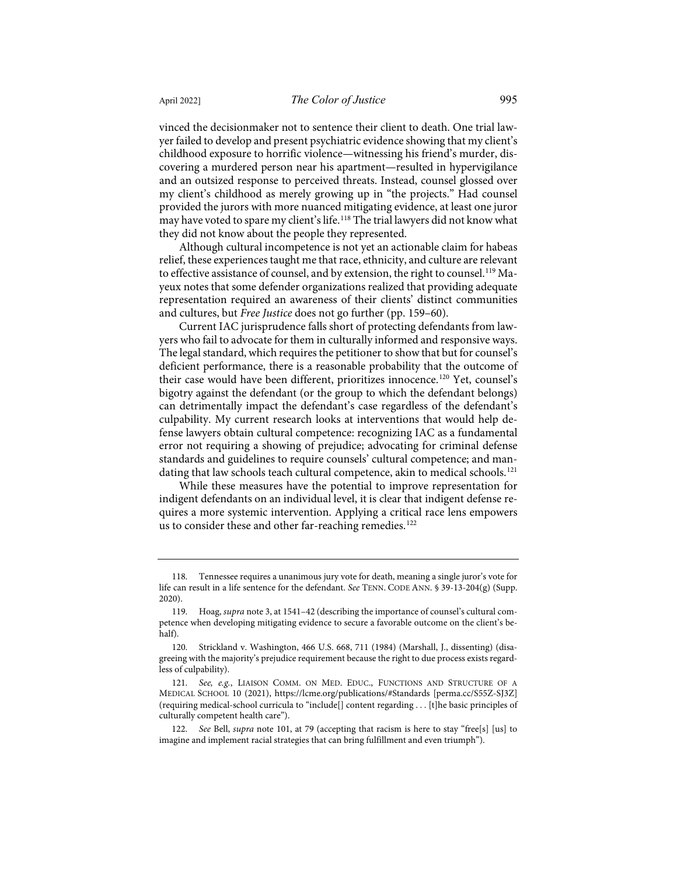vinced the decisionmaker not to sentence their client to death. One trial lawyer failed to develop and present psychiatric evidence showing that my client's childhood exposure to horrific violence—witnessing his friend's murder, discovering a murdered person near his apartment—resulted in hypervigilance and an outsized response to perceived threats. Instead, counsel glossed over my client's childhood as merely growing up in "the projects." Had counsel provided the jurors with more nuanced mitigating evidence, at least one juror may have voted to spare my client's life.[118](#page-19-0) The trial lawyers did not know what they did not know about the people they represented.

Although cultural incompetence is not yet an actionable claim for habeas relief, these experiences taught me that race, ethnicity, and culture are relevant to effective assistance of counsel, and by extension, the right to counsel.[119](#page-19-1) Mayeux notes that some defender organizations realized that providing adequate representation required an awareness of their clients' distinct communities and cultures, but *Free Justice* does not go further (pp. 159–60).

Current IAC jurisprudence falls short of protecting defendants from lawyers who fail to advocate for them in culturally informed and responsive ways. The legal standard, which requires the petitioner to show that but for counsel's deficient performance, there is a reasonable probability that the outcome of their case would have been different, prioritizes innocence.<sup>[120](#page-19-2)</sup> Yet, counsel's bigotry against the defendant (or the group to which the defendant belongs) can detrimentally impact the defendant's case regardless of the defendant's culpability. My current research looks at interventions that would help defense lawyers obtain cultural competence: recognizing IAC as a fundamental error not requiring a showing of prejudice; advocating for criminal defense standards and guidelines to require counsels' cultural competence; and man-dating that law schools teach cultural competence, akin to medical schools.<sup>[121](#page-19-3)</sup>

While these measures have the potential to improve representation for indigent defendants on an individual level, it is clear that indigent defense requires a more systemic intervention. Applying a critical race lens empowers us to consider these and other far-reaching remedies.<sup>[122](#page-19-4)</sup>

<span id="page-19-0"></span><sup>118.</sup> Tennessee requires a unanimous jury vote for death, meaning a single juror's vote for life can result in a life sentence for the defendant. *See* TENN. CODE ANN. § 39-13-204(g) (Supp. 2020).

<span id="page-19-1"></span><sup>119.</sup> Hoag, *supra* not[e 3,](#page-1-4) at 1541–42 (describing the importance of counsel's cultural competence when developing mitigating evidence to secure a favorable outcome on the client's behalf).

<span id="page-19-2"></span><sup>120.</sup> Strickland v. Washington, 466 U.S. 668, 711 (1984) (Marshall, J., dissenting) (disagreeing with the majority's prejudice requirement because the right to due process exists regardless of culpability).

<span id="page-19-3"></span><sup>121.</sup> *See, e.g.*, LIAISON COMM. ON MED. EDUC., FUNCTIONS AND STRUCTURE OF A MEDICAL SCHOOL 10 (2021),<https://lcme.org/publications/#Standards>[\[perma.cc/S55Z-SJ3Z\]](https://perma.cc/S55Z-SJ3Z) (requiring medical-school curricula to "include[] content regarding . . . [t]he basic principles of culturally competent health care").

<span id="page-19-4"></span><sup>122.</sup> *See* Bell, *supra* note [101,](#page-16-5) at 79 (accepting that racism is here to stay "free[s] [us] to imagine and implement racial strategies that can bring fulfillment and even triumph").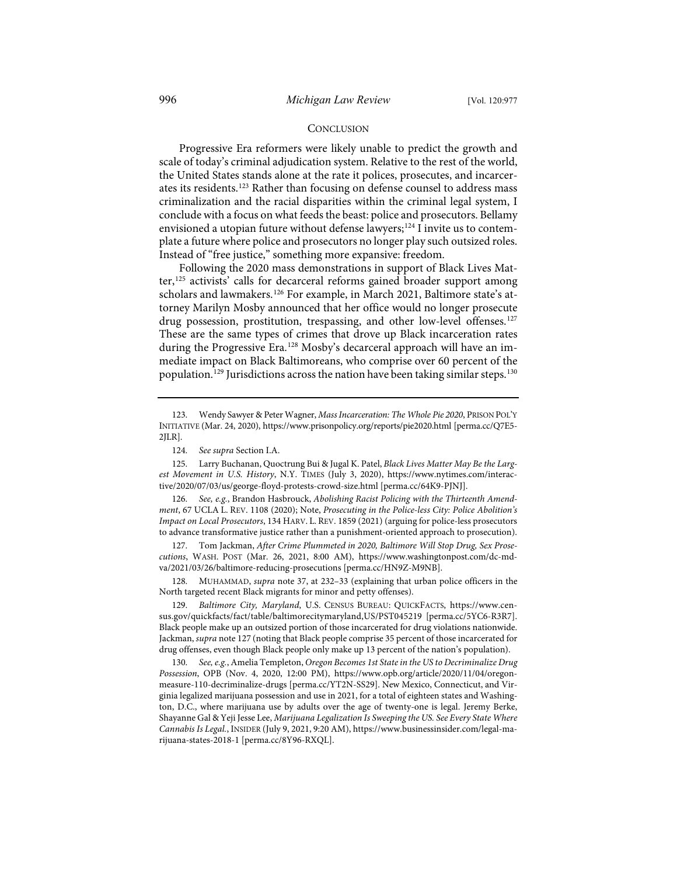#### <span id="page-20-0"></span>**CONCLUSION**

Progressive Era reformers were likely unable to predict the growth and scale of today's criminal adjudication system. Relative to the rest of the world, the United States stands alone at the rate it polices, prosecutes, and incarcerates its residents.[123](#page-20-1) Rather than focusing on defense counsel to address mass criminalization and the racial disparities within the criminal legal system, I conclude with a focus on what feeds the beast: police and prosecutors. Bellamy envisioned a utopian future without defense lawyers;<sup>[124](#page-20-2)</sup> I invite us to contemplate a future where police and prosecutors no longer play such outsized roles. Instead of "free justice," something more expansive: freedom.

Following the 2020 mass demonstrations in support of Black Lives Mat-ter,<sup>[125](#page-20-3)</sup> activists' calls for decarceral reforms gained broader support among scholars and lawmakers.<sup>[126](#page-20-4)</sup> For example, in March 2021, Baltimore state's attorney Marilyn Mosby announced that her office would no longer prosecute drug possession, prostitution, trespassing, and other low-level offenses.<sup>[127](#page-20-5)</sup> These are the same types of crimes that drove up Black incarceration rates during the Progressive Era.<sup>[128](#page-20-6)</sup> Mosby's decarceral approach will have an immediate impact on Black Baltimoreans, who comprise over 60 percent of the population.<sup>[129](#page-20-7)</sup> Jurisdictions across the nation have been taking similar steps.<sup>[130](#page-20-8)</sup>

<span id="page-20-3"></span><span id="page-20-2"></span>125. Larry Buchanan, Quoctrung Bui & Jugal K. Patel, *Black Lives Matter May Be the Largest Movement in U.S. History*, N.Y. TIMES (July 3, 2020), [https://www.nytimes.com/interac](https://www.nytimes.com/interactive/2020/07/03/us/george-floyd-protests-crowd-size.html)[tive/2020/07/03/us/george-floyd-protests-crowd-size.html](https://www.nytimes.com/interactive/2020/07/03/us/george-floyd-protests-crowd-size.html) [\[perma.cc/64K9-PJNJ\]](https://perma.cc/64K9-PJNJ).

<span id="page-20-4"></span>126. *See, e.g.*, Brandon Hasbrouck, *Abolishing Racist Policing with the Thirteenth Amendment*, 67 UCLA L. REV. 1108 (2020); Note, *Prosecuting in the Police-less City: Police Abolition's Impact on Local Prosecutors*, 134 HARV. L. REV. 1859 (2021) (arguing for police-less prosecutors to advance transformative justice rather than a punishment-oriented approach to prosecution).

<span id="page-20-5"></span>127. Tom Jackman, *After Crime Plummeted in 2020, Baltimore Will Stop Drug, Sex Prosecutions*, WASH. POST (Mar. 26, 2021, 8:00 AM), [https://www.washingtonpost.com/dc-md](https://www.washingtonpost.com/dc-md-va/2021/03/26/baltimore-reducing-prosecutions/)[va/2021/03/26/baltimore-reducing-prosecutions](https://www.washingtonpost.com/dc-md-va/2021/03/26/baltimore-reducing-prosecutions/) [\[perma.cc/HN9Z-M9NB\]](https://perma.cc/HN9Z-M9NB).

<span id="page-20-6"></span>128. MUHAMMAD, *supra* not[e 37,](#page-6-8) at 232–33 (explaining that urban police officers in the North targeted recent Black migrants for minor and petty offenses).

<span id="page-20-7"></span>129. *Baltimore City, Maryland*, U.S. CENSUS BUREAU: QUICKFACTS, [https://www.cen](https://www.census.gov/quickfacts/fact/table/baltimorecitymaryland,US/PST045219)[sus.gov/quickfacts/fact/table/baltimorecitymaryland,US/PST045219](https://www.census.gov/quickfacts/fact/table/baltimorecitymaryland,US/PST045219) [\[perma.cc/5YC6-R3R7\]](https://perma.cc/5YC6-R3R7). Black people make up an outsized portion of those incarcerated for drug violations nationwide. Jackman, *supra* not[e 127](#page-20-0) (noting that Black people comprise 35 percent of those incarcerated for drug offenses, even though Black people only make up 13 percent of the nation's population).

<span id="page-20-8"></span>130. *See, e.g.*, Amelia Templeton, *Oregon Becomes 1st State in the US to Decriminalize Drug Possession*, OPB (Nov. 4, 2020, 12:00 PM), [https://www.opb.org/article/2020/11/04/oregon](https://www.opb.org/article/2020/11/04/oregon-measure-110-decriminalize-drugs/)[measure-110-decriminalize-drugs](https://www.opb.org/article/2020/11/04/oregon-measure-110-decriminalize-drugs/) [\[perma.cc/YT2N-SS29\]](https://perma.cc/YT2N-SS29). New Mexico, Connecticut, and Virginia legalized marijuana possession and use in 2021, for a total of eighteen states and Washington, D.C., where marijuana use by adults over the age of twenty-one is legal. Jeremy Berke, Shayanne Gal & Yeji Jesse Lee, *Marijuana Legalization Is Sweeping the US. See Every State Where Cannabis Is Legal.*, INSIDER (July 9, 2021, 9:20 AM)[, https://www.businessinsider.com/legal-ma](https://www.businessinsider.com/legal-marijuana-states-2018-1)[rijuana-states-2018-1](https://www.businessinsider.com/legal-marijuana-states-2018-1) [\[perma.cc/8Y96-RXQL\]](https://perma.cc/8Y96-RXQL).

<span id="page-20-1"></span><sup>123.</sup> Wendy Sawyer & Peter Wagner, *Mass Incarceration: The Whole Pie 2020*, PRISON POL'Y INITIATIVE (Mar. 24, 2020),<https://www.prisonpolicy.org/reports/pie2020.html>[\[perma.cc/Q7E5-](https://perma.cc/Q7E5-2JLR) [2JLR\]](https://perma.cc/Q7E5-2JLR).

<sup>124.</sup> *See supra* Section I.A.